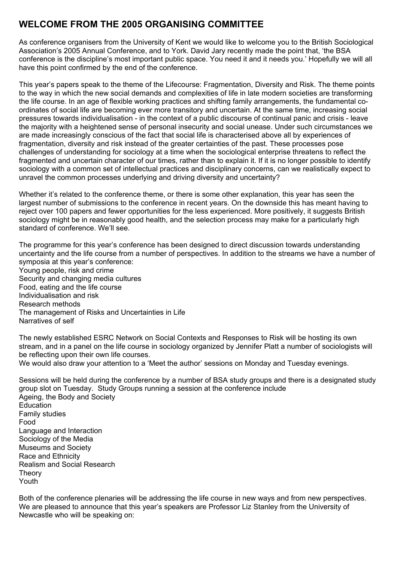# **WELCOME FROM THE 2005 ORGANISING COMMITTEE**

As conference organisers from the University of Kent we would like to welcome you to the British Sociological Association's 2005 Annual Conference, and to York. David Jary recently made the point that, 'the BSA conference is the discipline's most important public space. You need it and it needs you.' Hopefully we will all have this point confirmed by the end of the conference.

This year's papers speak to the theme of the Lifecourse: Fragmentation, Diversity and Risk. The theme points to the way in which the new social demands and complexities of life in late modern societies are transforming the life course. In an age of flexible working practices and shifting family arrangements, the fundamental coordinates of social life are becoming ever more transitory and uncertain. At the same time, increasing social pressures towards individualisation - in the context of a public discourse of continual panic and crisis - leave the majority with a heightened sense of personal insecurity and social unease. Under such circumstances we are made increasingly conscious of the fact that social life is characterised above all by experiences of fragmentation, diversity and risk instead of the greater certainties of the past. These processes pose challenges of understanding for sociology at a time when the sociological enterprise threatens to reflect the fragmented and uncertain character of our times, rather than to explain it. If it is no longer possible to identify sociology with a common set of intellectual practices and disciplinary concerns, can we realistically expect to unravel the common processes underlying and driving diversity and uncertainty?

Whether it's related to the conference theme, or there is some other explanation, this year has seen the largest number of submissions to the conference in recent years. On the downside this has meant having to reject over 100 papers and fewer opportunities for the less experienced. More positively, it suggests British sociology might be in reasonably good health, and the selection process may make for a particularly high standard of conference. We'll see.

The programme for this year's conference has been designed to direct discussion towards understanding uncertainty and the life course from a number of perspectives. In addition to the streams we have a number of symposia at this year's conference: Young people, risk and crime Security and changing media cultures Food, eating and the life course Individualisation and risk Research methods The management of Risks and Uncertainties in Life Narratives of self

The newly established ESRC Network on Social Contexts and Responses to Risk will be hosting its own stream, and in a panel on the life course in sociology organized by Jennifer Platt a number of sociologists will be reflecting upon their own life courses.

We would also draw your attention to a 'Meet the author' sessions on Monday and Tuesday evenings.

Sessions will be held during the conference by a number of BSA study groups and there is a designated study group slot on Tuesday. Study Groups running a session at the conference include Ageing, the Body and Society Education Family studies Food Language and Interaction Sociology of the Media Museums and Society Race and Ethnicity Realism and Social Research **Theory** Youth

Both of the conference plenaries will be addressing the life course in new ways and from new perspectives. We are pleased to announce that this year's speakers are Professor Liz Stanley from the University of Newcastle who will be speaking on: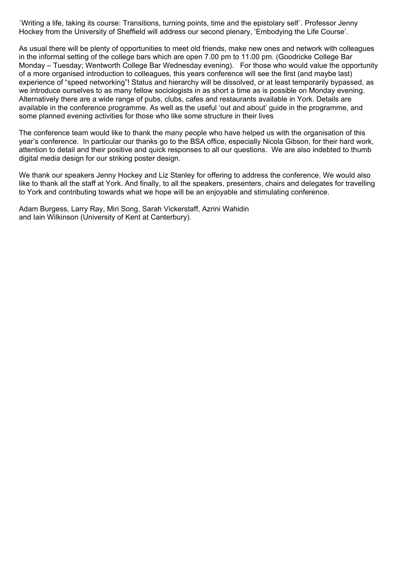´Writing a life, taking its course: Transitions, turning points, time and the epistolary self´. Professor Jenny Hockey from the University of Sheffield will address our second plenary, 'Embodying the Life Course'.

As usual there will be plenty of opportunities to meet old friends, make new ones and network with colleagues in the informal setting of the college bars which are open 7.00 pm to 11.00 pm. (Goodricke College Bar Monday – Tuesday; Wentworth College Bar Wednesday evening). For those who would value the opportunity of a more organised introduction to colleagues, this years conference will see the first (and maybe last) experience of "speed networking"! Status and hierarchy will be dissolved, or at least temporarily bypassed, as we introduce ourselves to as many fellow sociologists in as short a time as is possible on Monday evening. Alternatively there are a wide range of pubs, clubs, cafes and restaurants available in York. Details are available in the conference programme. As well as the useful 'out and about' guide in the programme, and some planned evening activities for those who like some structure in their lives

The conference team would like to thank the many people who have helped us with the organisation of this year's conference. In particular our thanks go to the BSA office, especially Nicola Gibson, for their hard work, attention to detail and their positive and quick responses to all our questions. We are also indebted to thumb digital media design for our striking poster design.

We thank our speakers Jenny Hockey and Liz Stanley for offering to address the conference. We would also like to thank all the staff at York. And finally, to all the speakers, presenters, chairs and delegates for travelling to York and contributing towards what we hope will be an enjoyable and stimulating conference.

Adam Burgess, Larry Ray, Miri Song, Sarah Vickerstaff, Azrini Wahidin and Iain Wilkinson (University of Kent at Canterbury).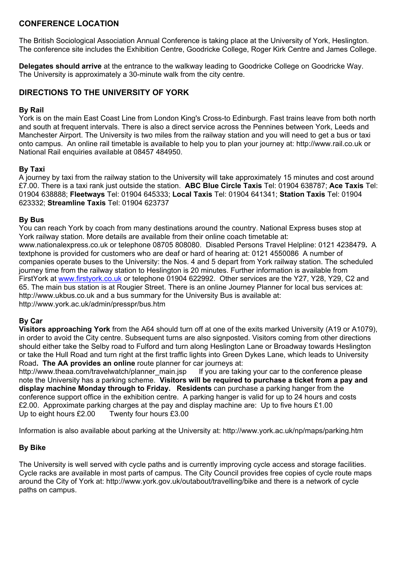### **CONFERENCE LOCATION**

The British Sociological Association Annual Conference is taking place at the University of York, Heslington. The conference site includes the Exhibition Centre, Goodricke College, Roger Kirk Centre and James College.

**Delegates should arrive** at the entrance to the walkway leading to Goodricke College on Goodricke Way. The University is approximately a 30-minute walk from the city centre.

## **DIRECTIONS TO THE UNIVERSITY OF YORK**

### **By Rail**

York is on the main East Coast Line from London King's Cross-to Edinburgh. Fast trains leave from both north and south at frequent intervals. There is also a direct service across the Pennines between York, Leeds and Manchester Airport. The University is two miles from the railway station and you will need to get a bus or taxi onto campus. An online rail timetable is available to help you to plan your journey at: [http://www.rail.co.uk](http://www.rail.co.uk/) or National Rail enquiries available at 08457 484950.

### **By Taxi**

A journey by taxi from the railway station to the University will take approximately 15 minutes and cost around £7.00. There is a taxi rank just outside the station. **ABC Blue Circle Taxis** Tel: 01904 638787; **Ace Taxis** Tel: 01904 638888; **Fleetways** Tel: 01904 645333; **Local Taxis** Tel: 01904 641341; **Station Taxis** Tel: 01904 623332; **Streamline Taxis** Tel: 01904 623737

### **By Bus**

You can reach York by coach from many destinations around the country. National Express buses stop at York railway station. More details are available from their online coach timetable at: [www.nationalexpress.co.uk](http://www.nationalexpress.co.uk/) or telephone 08705 808080.Disabled Persons Travel Helpline: 0121 4238479**.** A textphone is provided for customers who are deaf or hard of hearing at: 0121 4550086 A number of companies operate buses to the University: the Nos. 4 and 5 depart from York railway station. The scheduled journey time from the railway station to Heslington is 20 minutes. Further information is available from FirstYork at [www.firstyork.co.uk](http://www.firstyork.co.uk/) or telephone 01904 622992. Other services are the Y27, Y28, Y29, C2 and 65. The main bus station is at Rougier Street. There is an online Journey Planner for local bus services at: [http://www.ukbus.co.uk](http://www.ukbus.co.uk/) and a bus summary for the University Bus is available at: <http://www.york.ac.uk/admin/presspr/bus.htm>

### **By Car**

**Visitors approaching York** from the A64 should turn off at one of the exits marked University (A19 or A1079), in order to avoid the City centre. Subsequent turns are also signposted. Visitors coming from other directions should either take the Selby road to Fulford and turn along Heslington Lane or Broadway towards Heslington or take the Hull Road and turn right at the first traffic lights into Green Dykes Lane, which leads to University Road**. The AA provides an online** route planner for car journeys at:

[http://www.theaa.com/travelwatch/planner\\_main.jsp](http://www.theaa.com/travelwatch/planner_main.jsp) If you are taking your car to the conference please note the University has a parking scheme. **Visitors will be required to purchase a ticket from a pay and display machine Monday through to Friday. Residents** can purchase a parking hanger from the conference support office in the exhibition centre. A parking hanger is valid for up to 24 hours and costs £2.00. Approximate parking charges at the pay and display machine are: Up to five hours £1.00 Up to eight hours £2.00 Twenty four hours £3.00

Information is also available about parking at the University at:<http://www.york.ac.uk/np/maps/parking.htm>

### **By Bike**

The University is well served with cycle paths and is currently improving cycle access and storage facilities. Cycle racks are available in most parts of campus. The City Council provides free copies of cycle route maps around the City of York at:<http://www.york.gov.uk/outabout/travelling/bike> and there is a network of cycle paths on campus.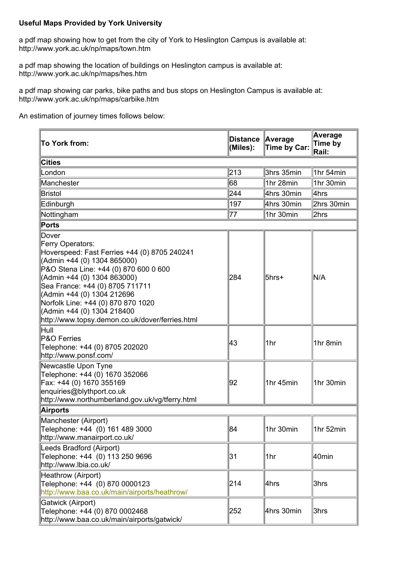### **Useful Maps Provided by York University**

a pdf map showing how to get from the city of York to Heslington Campus is available at: <http://www.york.ac.uk/np/maps/town.htm>

a pdf map showing the location of buildings on Heslington campus is available at: <http://www.york.ac.uk/np/maps/hes.htm>

a pdf map showing car parks, bike paths and bus stops on Heslington Campus is available at: <http://www.york.ac.uk/np/maps/carbike.htm>

An estimation of journey times follows below:

| To York from:                                                                                                                                                                                                                                                                                                                                                            | <b>Distance</b><br>(Miles): | <b>Average</b><br>Time by Car: | Average<br>Time by<br>Rail: |
|--------------------------------------------------------------------------------------------------------------------------------------------------------------------------------------------------------------------------------------------------------------------------------------------------------------------------------------------------------------------------|-----------------------------|--------------------------------|-----------------------------|
| <b>Cities</b>                                                                                                                                                                                                                                                                                                                                                            |                             |                                |                             |
| London                                                                                                                                                                                                                                                                                                                                                                   | 213                         | 3hrs 35min                     | 1hr 54min                   |
| Manchester                                                                                                                                                                                                                                                                                                                                                               | 68                          | 1hr 28min                      | 1hr 30min                   |
| <b>Bristol</b>                                                                                                                                                                                                                                                                                                                                                           | 244                         | 4hrs 30min                     | 4hrs                        |
| Edinburgh                                                                                                                                                                                                                                                                                                                                                                | 197                         | 4hrs 30min                     | 2hrs 30min                  |
| Nottingham                                                                                                                                                                                                                                                                                                                                                               | 77                          | 1hr 30min                      | 2hrs                        |
| Ports                                                                                                                                                                                                                                                                                                                                                                    |                             |                                |                             |
| Dover<br>Ferry Operators:<br>Hoverspeed: Fast Ferries +44 (0) 8705 240241<br>(Admin +44 (0) 1304 865000)<br>P&O Stena Line: +44 (0) 870 600 0 600<br>(Admin +44 (0) 1304 863000)<br>Sea France: +44 (0) 8705 711711<br>(Admin +44 (0) 1304 212696<br>Norfolk Line: +44 (0) 870 870 1020<br>(Admin +44 (0) 1304 218400<br>http://www.topsy.demon.co.uk/dover/ferries.html | 284                         | 5hrs+                          | N/A                         |
| Hull<br>P&O Ferries<br>Telephone: +44 (0) 8705 202020<br>http://www.ponsf.com/                                                                                                                                                                                                                                                                                           | Ι43                         | 1hr                            | 1hr 8min                    |
| Newcastle Upon Tyne<br>Telephone: +44 (0) 1670 352066<br>Fax: +44 (0) 1670 355169<br>enquiries@blythport.co.uk<br>http://www.northumberland.gov.uk/vg/tferry.html                                                                                                                                                                                                        | 92                          | 1hr 45min                      | 1hr 30min                   |
| <b>Airports</b>                                                                                                                                                                                                                                                                                                                                                          |                             |                                |                             |
| Manchester (Airport)<br>Telephone: +44 (0) 161 489 3000<br>http://www.manairport.co.uk/                                                                                                                                                                                                                                                                                  | 84                          | 1hr 30min                      | 1hr 52min                   |
| Leeds Bradford (Airport)<br>Telephone: +44 (0) 113 250 9696<br>http://www.lbia.co.uk/                                                                                                                                                                                                                                                                                    | 31                          | 1hr                            | 40min                       |
| Heathrow (Airport)<br>Telephone: +44 (0) 870 0000123<br>http://www.baa.co.uk/main/airports/heathrow/                                                                                                                                                                                                                                                                     | 214                         | ∣4hrs                          | 3hrs                        |
| Gatwick (Airport)<br>Telephone: +44 (0) 870 0002468<br>http://www.baa.co.uk/main/airports/gatwick/                                                                                                                                                                                                                                                                       | 252                         | 4hrs 30min                     | 3hrs                        |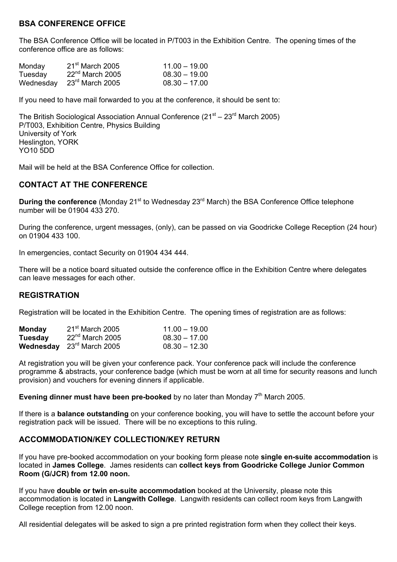### **BSA CONFERENCE OFFICE**

The BSA Conference Office will be located in P/T003 in the Exhibition Centre. The opening times of the conference office are as follows:

| Monday    | $21st$ March 2005           | $11.00 - 19.00$ |
|-----------|-----------------------------|-----------------|
| Tuesday   | $22^{nd}$ March 2005        | $08.30 - 19.00$ |
| Wednesday | $23^{\text{rd}}$ March 2005 | $08.30 - 17.00$ |

If you need to have mail forwarded to you at the conference, it should be sent to:

The British Sociological Association Annual Conference  $(21<sup>st</sup> – 23<sup>rd</sup> March 2005)$ P/T003, Exhibition Centre, Physics Building University of York Heslington, YORK YO10 5DD

Mail will be held at the BSA Conference Office for collection.

### **CONTACT AT THE CONFERENCE**

**During the conference** (Monday 21<sup>st</sup> to Wednesday 23<sup>rd</sup> March) the BSA Conference Office telephone number will be 01904 433 270.

During the conference, urgent messages, (only), can be passed on via Goodricke College Reception (24 hour) on 01904 433 100.

In emergencies, contact Security on 01904 434 444.

There will be a notice board situated outside the conference office in the Exhibition Centre where delegates can leave messages for each other.

### **REGISTRATION**

Registration will be located in the Exhibition Centre. The opening times of registration are as follows:

| <b>Monday</b>  | $21st$ March 2005                  | $11.00 - 19.00$ |
|----------------|------------------------------------|-----------------|
| <b>Tuesday</b> | $22^{nd}$ March 2005               | $08.30 - 17.00$ |
|                | <b>Wednesday</b> $23rd$ March 2005 | $08.30 - 12.30$ |

At registration you will be given your conference pack. Your conference pack will include the conference programme & abstracts, your conference badge (which must be worn at all time for security reasons and lunch provision) and vouchers for evening dinners if applicable.

**Evening dinner must have been pre-booked** by no later than Monday 7<sup>th</sup> March 2005.

If there is a **balance outstanding** on your conference booking, you will have to settle the account before your registration pack will be issued. There will be no exceptions to this ruling.

### **ACCOMMODATION/KEY COLLECTION/KEY RETURN**

If you have pre-booked accommodation on your booking form please note **single en-suite accommodation** is located in **James College**. James residents can **collect keys from Goodricke College Junior Common Room (G/JCR) from 12.00 noon.** 

If you have **double or twin en-suite accommodation** booked at the University, please note this accommodation is located in **Langwith College**. Langwith residents can collect room keys from Langwith College reception from 12.00 noon.

All residential delegates will be asked to sign a pre printed registration form when they collect their keys.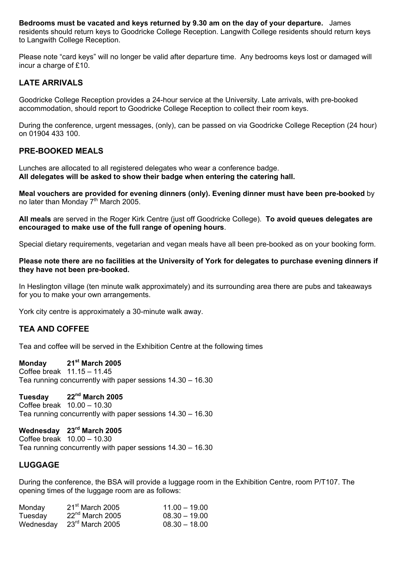**Bedrooms must be vacated and keys returned by 9.30 am on the day of your departure.** James residents should return keys to Goodricke College Reception. Langwith College residents should return keys to Langwith College Reception.

Please note "card keys" will no longer be valid after departure time. Any bedrooms keys lost or damaged will incur a charge of £10.

### **LATE ARRIVALS**

Goodricke College Reception provides a 24-hour service at the University. Late arrivals, with pre-booked accommodation, should report to Goodricke College Reception to collect their room keys.

During the conference, urgent messages, (only), can be passed on via Goodricke College Reception (24 hour) on 01904 433 100.

### **PRE-BOOKED MEALS**

Lunches are allocated to all registered delegates who wear a conference badge. **All delegates will be asked to show their badge when entering the catering hall.** 

**Meal vouchers are provided for evening dinners (only). Evening dinner must have been pre-booked** by no later than Monday  $7<sup>th</sup>$  March 2005.

**All meals** are served in the Roger Kirk Centre (just off Goodricke College). **To avoid queues delegates are encouraged to make use of the full range of opening hours**.

Special dietary requirements, vegetarian and vegan meals have all been pre-booked as on your booking form.

**Please note there are no facilities at the University of York for delegates to purchase evening dinners if they have not been pre-booked.**

In Heslington village (ten minute walk approximately) and its surrounding area there are pubs and takeaways for you to make your own arrangements.

York city centre is approximately a 30-minute walk away.

### **TEA AND COFFEE**

Tea and coffee will be served in the Exhibition Centre at the following times

**Monday 21st March 2005**  Coffee break 11.15 – 11.45 Tea running concurrently with paper sessions 14.30 – 16.30

**Tuesday 22nd March 2005**  Coffee break 10.00 – 10.30 Tea running concurrently with paper sessions 14.30 – 16.30

**Wednesday 23rd March 2005**  Coffee break 10.00 – 10.30 Tea running concurrently with paper sessions 14.30 – 16.30

### **LUGGAGE**

During the conference, the BSA will provide a luggage room in the Exhibition Centre, room P/T107. The opening times of the luggage room are as follows:

| Monday    | $21st$ March 2005    | $11.00 - 19.00$ |
|-----------|----------------------|-----------------|
| Tuesday   | $22^{nd}$ March 2005 | $08.30 - 19.00$ |
| Wednesday | $23rd$ March 2005    | $08.30 - 18.00$ |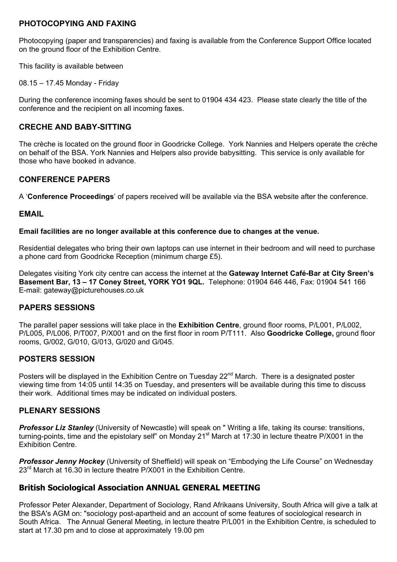### **PHOTOCOPYING AND FAXING**

Photocopying (paper and transparencies) and faxing is available from the Conference Support Office located on the ground floor of the Exhibition Centre.

This facility is available between

08.15 – 17.45 Monday - Friday

During the conference incoming faxes should be sent to 01904 434 423. Please state clearly the title of the conference and the recipient on all incoming faxes.

### **CRECHE AND BABY-SITTING**

The crèche is located on the ground floor in Goodricke College. York Nannies and Helpers operate the crèche on behalf of the BSA. York Nannies and Helpers also provide babysitting. This service is only available for those who have booked in advance.

### **CONFERENCE PAPERS**

A '**Conference Proceedings**' of papers received will be available via the BSA website after the conference.

### **EMAIL**

### **Email facilities are no longer available at this conference due to changes at the venue.**

Residential delegates who bring their own laptops can use internet in their bedroom and will need to purchase a phone card from Goodricke Reception (minimum charge £5).

Delegates visiting York city centre can access the internet at the **Gateway Internet Café-Bar at City Sreen's Basement Bar, 13 – 17 Coney Street, YORK YO1 9QL.** Telephone: 01904 646 446, Fax: 01904 541 166 E-mail: gateway@picturehouses.co.uk

### **PAPERS SESSIONS**

The parallel paper sessions will take place in the **Exhibition Centre**, ground floor rooms, P/L001, P/L002, P/L005, P/L006, P/T007, P/X001 and on the first floor in room P/T111. Also **Goodricke College,** ground floor rooms, G/002, G/010, G/013, G/020 and G/045.

## **POSTERS SESSION**

Posters will be displayed in the Exhibition Centre on Tuesday 22<sup>nd</sup> March. There is a designated poster viewing time from 14:05 until 14:35 on Tuesday, and presenters will be available during this time to discuss their work. Additional times may be indicated on individual posters.

### **PLENARY SESSIONS**

*Professor Liz Stanley* (University of Newcastle) will speak on " Writing a life, taking its course: transitions, turning-points, time and the epistolary self" on Monday 21<sup>st</sup> March at 17:30 in lecture theatre P/X001 in the Exhibition Centre.

**Professor Jenny Hockey** (University of Sheffield) will speak on "Embodying the Life Course" on Wednesday 23<sup>rd</sup> March at 16.30 in lecture theatre P/X001 in the Exhibition Centre.

## **British Sociological Association ANNUAL GENERAL MEETING**

Professor Peter Alexander, Department of Sociology, Rand Afrikaans University, South Africa will give a talk at the BSA's AGM on: "sociology post-apartheid and an account of some features of sociological research in South Africa. The Annual General Meeting, in lecture theatre P/L001 in the Exhibition Centre, is scheduled to start at 17.30 pm and to close at approximately 19.00 pm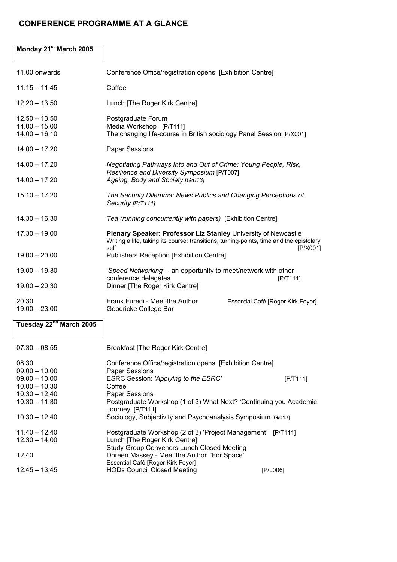### **CONFERENCE PROGRAMME AT A GLANCE**

## **Monday 21st March 2005**  11.00 onwards Conference Office/registration opens [Exhibition Centre] 11.15 – 11.45 Coffee 12.20 – 13.50 Lunch [The Roger Kirk Centre] 12.50 – 13.50  $14.00 - 15.00$ <br> $14.00 - 16.10$ Postgraduate Forum Media Workshop [P/T111] The changing life-course in British sociology Panel Session [P/X001] 14.00 – 17.20 Paper Sessions 14.00 – 17.20 *Negotiating Pathways Into and Out of Crime: Young People, Risk, Resilience and Diversity Symposium* [P/T007] 14.00 – 17.20 *Ageing, Body and Society [G/013]* 15.10 – 17.20 *The Security Dilemma: News Publics and Changing Perceptions of Security [P/T111]* 14.30 – 16.30 *Tea (running concurrently with papers)* [Exhibition Centre] 17.30 – 19.00 **Plenary Speaker: Professor Liz Stanley** University of Newcastle Writing a life, taking its course: transitions, turning-points, time and the epistolary self [P/X001] 19.00 – 20.00 Publishers Reception [Exhibition Centre] 19.00 – 19.30 '*Speed Networking'* – an opportunity to meet/network with other conference delegates [P/T111] 19.00 – 20.30 Dinner [The Roger Kirk Centre] 20.30 Frank Furedi - Meet the Author Essential Café [Roger Kirk Foyer] 19.00 – 23.00 Goodricke College Bar

### **Tuesday 22nd March 2005**

| $07.30 - 08.55$ | <b>Breakfast [The Roger Kirk Centre]</b>                                                |                 |
|-----------------|-----------------------------------------------------------------------------------------|-----------------|
| 08.30           | Conference Office/registration opens [Exhibition Centre]                                |                 |
| $09.00 - 10.00$ | <b>Paper Sessions</b>                                                                   |                 |
| $09.00 - 10.00$ | ESRC Session: 'Applying to the ESRC'                                                    | [P/T111]        |
| $10.00 - 10.30$ | Coffee                                                                                  |                 |
| $10.30 - 12.40$ | <b>Paper Sessions</b>                                                                   |                 |
| $10.30 - 11.30$ | Postgraduate Workshop (1 of 3) What Next? 'Continuing you Academic<br>Journey' [P/T111] |                 |
| $10.30 - 12.40$ | Sociology, Subjectivity and Psychoanalysis Symposium [G/013]                            |                 |
| $11.40 - 12.40$ | Postgraduate Workshop (2 of 3) 'Project Management' [P/T111]                            |                 |
| $12.30 - 14.00$ | Lunch [The Roger Kirk Centre]                                                           |                 |
|                 | <b>Study Group Convenors Lunch Closed Meeting</b>                                       |                 |
| 12.40           | Doreen Massey - Meet the Author 'For Space'                                             |                 |
|                 | Essential Café [Roger Kirk Foyer]                                                       |                 |
| $12.45 - 13.45$ | <b>HODs Council Closed Meeting</b>                                                      | <b>IP/L0061</b> |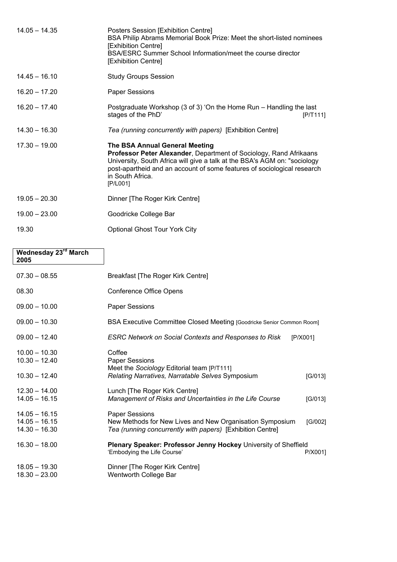| Posters Session [Exhibition Centre]<br>BSA Philip Abrams Memorial Book Prize: Meet the short-listed nominees<br>[Exhibition Centre]<br>BSA/ESRC Summer School Information/meet the course director<br>[Exhibition Centre]                                                                    |
|----------------------------------------------------------------------------------------------------------------------------------------------------------------------------------------------------------------------------------------------------------------------------------------------|
| <b>Study Groups Session</b>                                                                                                                                                                                                                                                                  |
| <b>Paper Sessions</b>                                                                                                                                                                                                                                                                        |
| Postgraduate Workshop (3 of 3) 'On the Home Run – Handling the last<br>stages of the PhD'<br>[P/T111]                                                                                                                                                                                        |
| Tea (running concurrently with papers) [Exhibition Centre]                                                                                                                                                                                                                                   |
| The BSA Annual General Meeting<br>Professor Peter Alexander, Department of Sociology, Rand Afrikaans<br>University, South Africa will give a talk at the BSA's AGM on: "sociology<br>post-apartheid and an account of some features of sociological research<br>in South Africa.<br>[P/L001] |
| Dinner [The Roger Kirk Centre]                                                                                                                                                                                                                                                               |
| Goodricke College Bar                                                                                                                                                                                                                                                                        |
| Optional Ghost Tour York City                                                                                                                                                                                                                                                                |
|                                                                                                                                                                                                                                                                                              |

| Wednesday 23 <sup>rd</sup> March<br>2005              |                                                                                                                                                 |         |
|-------------------------------------------------------|-------------------------------------------------------------------------------------------------------------------------------------------------|---------|
| $07.30 - 08.55$                                       | <b>Breakfast [The Roger Kirk Centre]</b>                                                                                                        |         |
| 08.30                                                 | <b>Conference Office Opens</b>                                                                                                                  |         |
| $09.00 - 10.00$                                       | <b>Paper Sessions</b>                                                                                                                           |         |
| $09.00 - 10.30$                                       | BSA Executive Committee Closed Meeting [Goodricke Senior Common Room]                                                                           |         |
| $09.00 - 12.40$                                       | <b>ESRC Network on Social Contexts and Responses to Risk</b><br>[P/X001]                                                                        |         |
| $10.00 - 10.30$<br>$10.30 - 12.40$<br>$10.30 - 12.40$ | Coffee<br><b>Paper Sessions</b><br>Meet the Sociology Editorial team [P/T111]<br>Relating Narratives, Narratable Selves Symposium               | [G/013] |
| $12.30 - 14.00$<br>$14.05 - 16.15$                    | Lunch [The Roger Kirk Centre]<br>Management of Risks and Uncertainties in the Life Course                                                       | [G/013] |
| $14.05 - 16.15$<br>$14.05 - 16.15$<br>$14.30 - 16.30$ | <b>Paper Sessions</b><br>New Methods for New Lives and New Organisation Symposium<br>Tea (running concurrently with papers) [Exhibition Centre] | [G/002] |
| $16.30 - 18.00$                                       | Plenary Speaker: Professor Jenny Hockey University of Sheffield<br>'Embodying the Life Course'                                                  | P/X001] |
| $18.05 - 19.30$<br>$18.30 - 23.00$                    | Dinner [The Roger Kirk Centre]<br>Wentworth College Bar                                                                                         |         |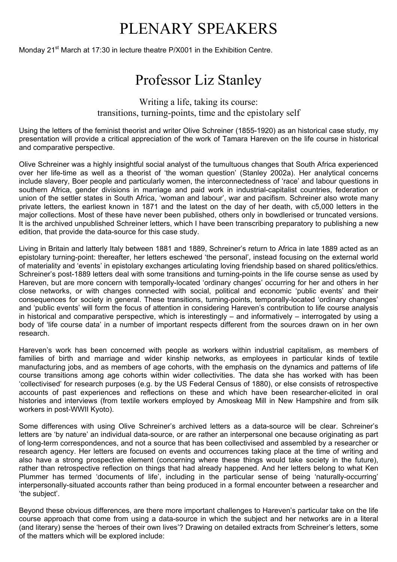# PLENARY SPEAKERS

Monday 21<sup>st</sup> March at 17:30 in lecture theatre P/X001 in the Exhibition Centre.

# Professor Liz Stanley

Writing a life, taking its course: transitions, turning-points, time and the epistolary self

Using the letters of the feminist theorist and writer Olive Schreiner (1855-1920) as an historical case study, my presentation will provide a critical appreciation of the work of Tamara Hareven on the life course in historical and comparative perspective.

Olive Schreiner was a highly insightful social analyst of the tumultuous changes that South Africa experienced over her life-time as well as a theorist of 'the woman question' (Stanley 2002a). Her analytical concerns include slavery, Boer people and particularly women, the interconnectedness of 'race' and labour questions in southern Africa, gender divisions in marriage and paid work in industrial-capitalist countries, federation or union of the settler states in South Africa, 'woman and labour', war and pacifism. Schreiner also wrote many private letters, the earliest known in 1871 and the latest on the day of her death, with c5,000 letters in the major collections. Most of these have never been published, others only in bowdlerised or truncated versions. It is the archived unpublished Schreiner letters, which I have been transcribing preparatory to publishing a new edition, that provide the data-source for this case study.

Living in Britain and latterly Italy between 1881 and 1889, Schreiner's return to Africa in late 1889 acted as an epistolary turning-point: thereafter, her letters eschewed 'the personal', instead focusing on the external world of materiality and 'events' in epistolary exchanges articulating loving friendship based on shared politics/ethics. Schreiner's post-1889 letters deal with some transitions and turning-points in the life course sense as used by Hareven, but are more concern with temporally-located 'ordinary changes' occurring for her and others in her close networks, or with changes connected with social, political and economic 'public events' and their consequences for society in general. These transitions, turning-points, temporally-located 'ordinary changes' and 'public events' will form the focus of attention in considering Hareven's contribution to life course analysis in historical and comparative perspective, which is interestingly – and informatively – interrogated by using a body of 'life course data' in a number of important respects different from the sources drawn on in her own research.

Hareven's work has been concerned with people as workers within industrial capitalism, as members of families of birth and marriage and wider kinship networks, as employees in particular kinds of textile manufacturing jobs, and as members of age cohorts, with the emphasis on the dynamics and patterns of life course transitions among age cohorts within wider collectivities. The data she has worked with has been 'collectivised' for research purposes (e.g. by the US Federal Census of 1880), or else consists of retrospective accounts of past experiences and reflections on these and which have been researcher-elicited in oral histories and interviews (from textile workers employed by Amoskeag Mill in New Hampshire and from silk workers in post-WWII Kyoto).

Some differences with using Olive Schreiner's archived letters as a data-source will be clear. Schreiner's letters are 'by nature' an individual data-source, or are rather an interpersonal one because originating as part of long-term correspondences, and not a source that has been collectivised and assembled by a researcher or research agency. Her letters are focused on events and occurrences taking place at the time of writing and also have a strong prospective element (concerning where these things would take society in the future), rather than retrospective reflection on things that had already happened. And her letters belong to what Ken Plummer has termed 'documents of life', including in the particular sense of being 'naturally-occurring' interpersonally-situated accounts rather than being produced in a formal encounter between a researcher and 'the subject'.

Beyond these obvious differences, are there more important challenges to Hareven's particular take on the life course approach that come from using a data-source in which the subject and her networks are in a literal (and literary) sense the 'heroes of their own lives'? Drawing on detailed extracts from Schreiner's letters, some of the matters which will be explored include: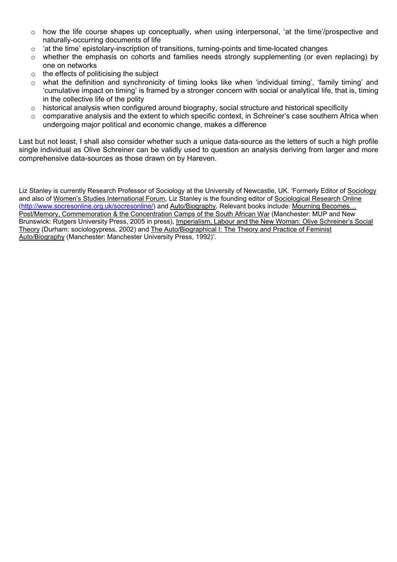- $\circ$  how the life course shapes up conceptually, when using interpersonal, 'at the time'/prospective and naturally-occurring documents of life
- o 'at the time' epistolary-inscription of transitions, turning-points and time-located changes
- o whether the emphasis on cohorts and families needs strongly supplementing (or even replacing) by one on networks
- $\circ$  the effects of politicising the subject
- $\circ$  what the definition and synchronicity of timing looks like when 'individual timing', 'family timing' and 'cumulative impact on timing' is framed by a stronger concern with social or analytical life, that is, timing in the collective life of the polity
- $\circ$  historical analysis when configured around biography, social structure and historical specificity
- $\circ$  comparative analysis and the extent to which specific context, in Schreiner's case southern Africa when undergoing major political and economic change, makes a difference

Last but not least, I shall also consider whether such a unique data-source as the letters of such a high profile single individual as Olive Schreiner can be validly used to question an analysis deriving from larger and more comprehensive data-sources as those drawn on by Hareven.

Liz Stanley is currently Research Professor of Sociology at the University of Newcastle, UK. 'Formerly Editor of Sociology and also of Women's Studies International Forum, Liz Stanley is the founding editor of Sociological Research Online ([http://www.socresonline.org.uk/socresonline/\)](http://www.socresonline.org.uk/socresonline/) and Auto/Biography. Relevant books include: Mourning Becomes… Post/Memory, Commemoration & the Concentration Camps of the South African War (Manchester: MUP and New Brunswick: Rutgers University Press, 2005 in press), Imperialism, Labour and the New Woman: Olive Schreiner's Social Theory (Durham: sociologypress, 2002) and The Auto/Biographical I: The Theory and Practice of Feminist Auto/Biography (Manchester: Manchester University Press, 1992)'.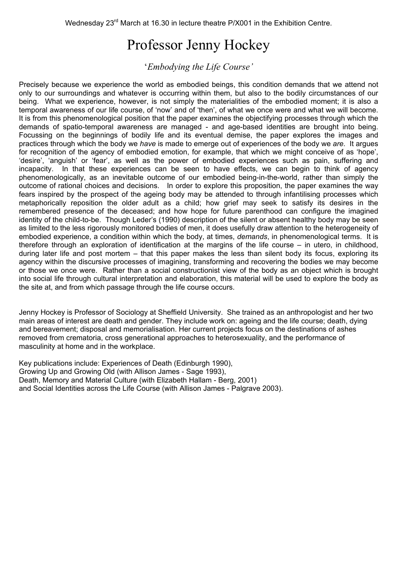# Professor Jenny Hockey

'*Embodying the Life Course'*

Precisely because we experience the world as embodied beings, this condition demands that we attend not only to our surroundings and whatever is occurring within them, but also to the bodily circumstances of our being. What we experience, however, is not simply the materialities of the embodied moment; it is also a temporal awareness of our life course, of 'now' and of 'then', of what we once were and what we will become. It is from this phenomenological position that the paper examines the objectifying processes through which the demands of spatio-temporal awareness are managed - and age-based identities are brought into being. Focussing on the beginnings of bodily life and its eventual demise, the paper explores the images and practices through which the body we *have* is made to emerge out of experiences of the body we *are*. It argues for recognition of the agency of embodied emotion, for example, that which we might conceive of as 'hope', 'desire', 'anguish' or 'fear', as well as the power of embodied experiences such as pain, suffering and incapacity. In that these experiences can be seen to have effects, we can begin to think of agency phenomenologically, as an inevitable outcome of our embodied being-in-the-world, rather than simply the outcome of rational choices and decisions. In order to explore this proposition, the paper examines the way fears inspired by the prospect of the ageing body may be attended to through infantilising processes which metaphorically reposition the older adult as a child; how grief may seek to satisfy its desires in the remembered presence of the deceased; and how hope for future parenthood can configure the imagined identity of the child-to-be. Though Leder's (1990) description of the silent or absent healthy body may be seen as limited to the less rigorously monitored bodies of men, it does usefully draw attention to the heterogeneity of embodied experience, a condition within which the body, at times, *demands*, in phenomenological terms. It is therefore through an exploration of identification at the margins of the life course – in utero, in childhood, during later life and post mortem – that this paper makes the less than silent body its focus, exploring its agency within the discursive processes of imagining, transforming and recovering the bodies we may become or those we once were. Rather than a social constructionist view of the body as an object which is brought into social life through cultural interpretation and elaboration, this material will be used to explore the body as the site at, and from which passage through the life course occurs.

Jenny Hockey is Professor of Sociology at Sheffield University. She trained as an anthropologist and her two main areas of interest are death and gender. They include work on: ageing and the life course; death, dying and bereavement; disposal and memorialisation. Her current projects focus on the destinations of ashes removed from crematoria, cross generational approaches to heterosexuality, and the performance of masculinity at home and in the workplace.

Key publications include: Experiences of Death (Edinburgh 1990), Growing Up and Growing Old (with Allison James - Sage 1993), Death, Memory and Material Culture (with Elizabeth Hallam - Berg, 2001) and Social Identities across the Life Course (with Allison James - Palgrave 2003).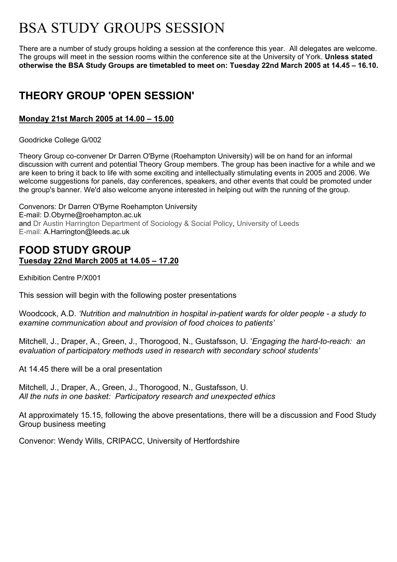# BSA STUDY GROUPS SESSION

There are a number of study groups holding a session at the conference this year. All delegates are welcome. The groups will meet in the session rooms within the conference site at the University of York. **Unless stated otherwise the BSA Study Groups are timetabled to meet on: Tuesday 22nd March 2005 at 14.45 – 16.10.**

# **THEORY GROUP 'OPEN SESSION'**

## **Monday 21st March 2005 at 14.00 – 15.00**

Goodricke College G/002

Theory Group co-convener Dr Darren O'Byrne (Roehampton University) will be on hand for an informal discussion with current and potential Theory Group members. The group has been inactive for a while and we are keen to bring it back to life with some exciting and intellectually stimulating events in 2005 and 2006. We welcome suggestions for panels, day conferences, speakers, and other events that could be promoted under the group's banner. We'd also welcome anyone interested in helping out with the running of the group.

Convenors: Dr Darren O'Byrne Roehampton University E-mail: [D.Obyrne@roehampton.ac.uk](mailto: ersbe@dredd.csv.warwick.ac.uk)  and Dr Austin Harrington Department of Sociology & Social Policy, University of Leeds E-mail: A.Harrington@leeds.ac.uk

# **FOOD STUDY GROUP Tuesday 22nd March 2005 at 14.05 – 17.20**

Exhibition Centre P/X001

This session will begin with the following poster presentations

Woodcock, A.D. *'Nutrition and malnutrition in hospital in-patient wards for older people - a study to examine communication about and provision of food choices to patients'*

Mitchell, J., Draper, A., Green, J., Thorogood, N., Gustafsson, U. '*Engaging the hard-to-reach: an evaluation of participatory methods used in research with secondary school students'*

At 14.45 there will be a oral presentation

Mitchell, J., Draper, A., Green, J., Thorogood, N., Gustafsson, U. *All the nuts in one basket: Participatory research and unexpected ethics* 

At approximately 15.15, following the above presentations, there will be a discussion and Food Study Group business meeting

Convenor: Wendy Wills, CRIPACC, University of Hertfordshire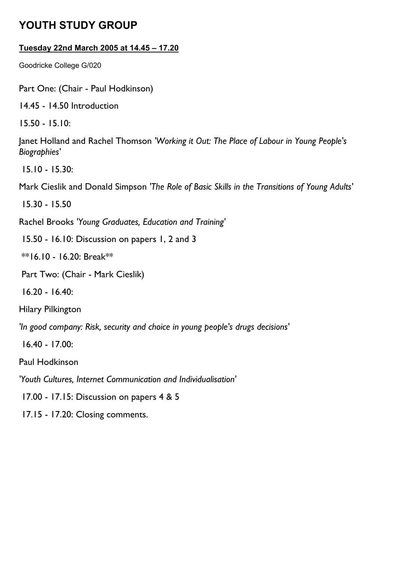# **YOUTH STUDY GROUP**

# **Tuesday 22nd March 2005 at 14.45 – 17.20**

Goodricke College G/020

Part One: (Chair - Paul Hodkinson)

14.45 - 14.50 Introduction

15.50 - 15.10:

Janet Holland and Rachel Thomson *'Working it Out: The Place of Labour in Young People's Biographies'*

15.10 - 15.30:

Mark Cieslik and Donald Simpson *'The Role of Basic Skills in the Transitions of Young Adults'*

15.30 - 15.50

Rachel Brooks *'Young Graduates, Education and Training'*

15.50 - 16.10: Discussion on papers 1, 2 and 3

 $*$ 16.10 - 16.20: Break $*$ 

Part Two: (Chair - Mark Cieslik)

16.20 - 16.40:

Hilary Pilkington

*'In good company: Risk, security and choice in young people's drugs decisions'*

16.40 - 17.00:

Paul Hodkinson

*'Youth Cultures, Internet Communication and Individualisation'*

17.00 - 17.15: Discussion on papers 4 & 5

17.15 - 17.20: Closing comments.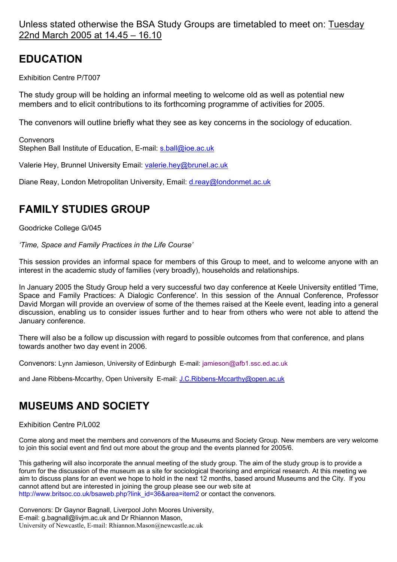Unless stated otherwise the BSA Study Groups are timetabled to meet on: Tuesday 22nd March 2005 at 14.45 – 16.10

# **EDUCATION**

Exhibition Centre P/T007

The study group will be holding an informal meeting to welcome old as well as potential new members and to elicit contributions to its forthcoming programme of activities for 2005.

The convenors will outline briefly what they see as key concerns in the sociology of education.

**Convenors** Stephen Ball Institute of Education, E-mail: [s.ball@ioe.ac.uk](mailto:s.ball@ioe.ac.uk)

Valerie Hey, Brunnel University Email: [valerie.hey@brunel.ac.uk](mailto:valerie.hey@brunel.ac.uk)

Diane Reay, London Metropolitan University, Email: [d.reay@londonmet.ac.uk](mailto:d.reay@londonmet.ac.uk)

# **FAMILY STUDIES GROUP**

Goodricke College G/045

*'Time, Space and Family Practices in the Life Course'* 

This session provides an informal space for members of this Group to meet, and to welcome anyone with an interest in the academic study of families (very broadly), households and relationships.

In January 2005 the Study Group held a very successful two day conference at Keele University entitled 'Time, Space and Family Practices: A Dialogic Conference'. In this session of the Annual Conference, Professor David Morgan will provide an overview of some of the themes raised at the Keele event, leading into a general discussion, enabling us to consider issues further and to hear from others who were not able to attend the January conference.

There will also be a follow up discussion with regard to possible outcomes from that conference, and plans towards another two day event in 2006.

Convenors: Lynn Jamieson, University of Edinburgh E-mail: jamieson@afb1.ssc.ed.ac.uk

and Jane Ribbens-Mccarthy, Open University E-mail: [J.C.Ribbens-Mccarthy@open.ac.uk](mailto:J.C.Ribbens-Mccarthy@open.ac.uk)

# **MUSEUMS AND SOCIETY**

Exhibition Centre P/L002

Come along and meet the members and convenors of the Museums and Society Group. New members are very welcome to join this social event and find out more about the group and the events planned for 2005/6.

This gathering will also incorporate the annual meeting of the study group. The aim of the study group is to provide a forum for the discussion of the museum as a site for sociological theorising and empirical research. At this meeting we aim to discuss plans for an event we hope to hold in the next 12 months, based around Museums and the City. If you cannot attend but are interested in joining the group please see our web site at [http://www.britsoc.co.uk/bsaweb.php?link\\_id=36&area=item2](http://www.britsoc.co.uk/bsaweb.php?link_id=36&area=item2) or contact the convenors.

Convenors: Dr Gaynor Bagnall, Liverpool John Moores University, E-mail: [g.bagnall@livjm.ac.uk](mailto:g.bagnall@livjm.ac.uk) and Dr Rhiannon Mason, University of Newcastle, E-mail: Rhiannon.Mason@newcastle.ac.uk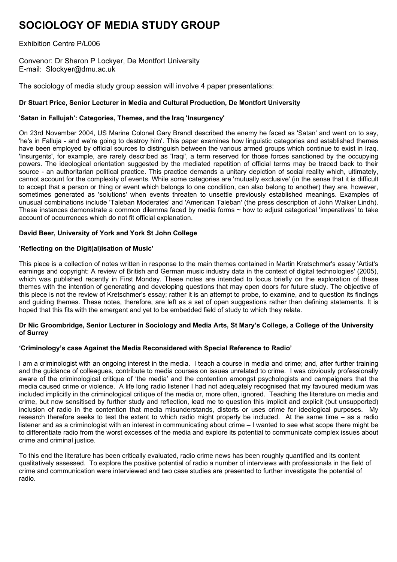# **SOCIOLOGY OF MEDIA STUDY GROUP**

Exhibition Centre P/L006

Convenor: Dr Sharon P Lockyer, De Montfort University E-mail: [Slockyer@dmu.ac.uk](mailto:Valerie.Hey@brunel.ac.uk)

The sociology of media study group session will involve 4 paper presentations:

### **Dr Stuart Price, Senior Lecturer in Media and Cultural Production, De Montfort University**

### **'Satan in Fallujah': Categories, Themes, and the Iraq 'Insurgency'**

On 23rd November 2004, US Marine Colonel Gary Brandl described the enemy he faced as 'Satan' and went on to say, 'he's in Falluja - and we're going to destroy him'. This paper examines how linguistic categories and established themes have been employed by official sources to distinguish between the various armed groups which continue to exist in Iraq. 'Insurgents', for example, are rarely described as 'Iraqi', a term reserved for those forces sanctioned by the occupying powers. The ideological orientation suggested by the mediated repetition of official terms may be traced back to their source - an authoritarian political practice. This practice demands a unitary depiction of social reality which, ultimately, cannot account for the complexity of events. While some categories are 'mutually exclusive' (in the sense that it is difficult to accept that a person or thing or event which belongs to one condition, can also belong to another) they are, however, sometimes generated as 'solutions' when events threaten to unsettle previously established meanings. Examples of unusual combinations include 'Taleban Moderates' and 'American Taleban' (the press description of John Walker Lindh). These instances demonstrate a common dilemma faced by media forms ~ how to adjust categorical 'imperatives' to take account of occurrences which do not fit official explanation.

### **David Beer, University of York and York St John College**

### **'Reflecting on the Digit(al)isation of Music'**

This piece is a collection of notes written in response to the main themes contained in Martin Kretschmer's essay 'Artist's earnings and copyright: A review of British and German music industry data in the context of digital technologies' (2005), which was published recently in First Monday. These notes are intended to focus briefly on the exploration of these themes with the intention of generating and developing questions that may open doors for future study. The objective of this piece is not the review of Kretschmer's essay; rather it is an attempt to probe, to examine, and to question its findings and guiding themes. These notes, therefore, are left as a set of open suggestions rather than defining statements. It is hoped that this fits with the emergent and yet to be embedded field of study to which they relate.

#### **Dr Nic Groombridge, Senior Lecturer in Sociology and Media Arts, St Mary's College, a College of the University of Surrey**

#### **'Criminology's case Against the Media Reconsidered with Special Reference to Radio'**

I am a criminologist with an ongoing interest in the media. I teach a course in media and crime; and, after further training and the guidance of colleagues, contribute to media courses on issues unrelated to crime. I was obviously professionally aware of the criminological critique of 'the media' and the contention amongst psychologists and campaigners that the media caused crime or violence. A life long radio listener I had not adequately recognised that my favoured medium was included implicitly in the criminological critique of the media or, more often, ignored. Teaching the literature on media and crime, but now sensitised by further study and reflection, lead me to question this implicit and explicit (but unsupported) inclusion of radio in the contention that media misunderstands, distorts or uses crime for ideological purposes. My research therefore seeks to test the extent to which radio might properly be included. At the same time – as a radio listener and as a criminologist with an interest in communicating about crime – I wanted to see what scope there might be to differentiate radio from the worst excesses of the media and explore its potential to communicate complex issues about crime and criminal justice.

To this end the literature has been critically evaluated, radio crime news has been roughly quantified and its content qualitatively assessed. To explore the positive potential of radio a number of interviews with professionals in the field of crime and communication were interviewed and two case studies are presented to further investigate the potential of radio.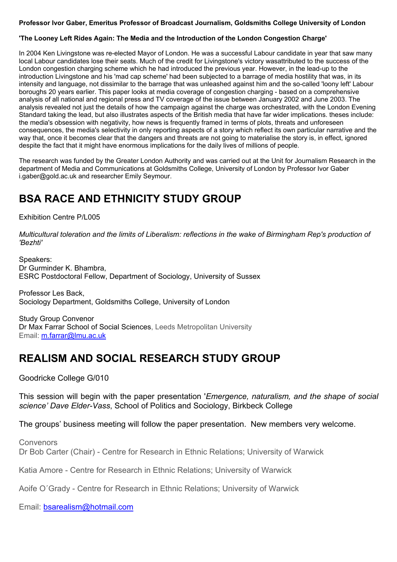#### **Professor Ivor Gaber, Emeritus Professor of Broadcast Journalism, Goldsmiths College University of London**

### **'The Looney Left Rides Again: The Media and the Introduction of the London Congestion Charge'**

In 2004 Ken Livingstone was re-elected Mayor of London. He was a successful Labour candidate in year that saw many local Labour candidates lose their seats. Much of the credit for Livingstone's victory wasattributed to the success of the London congestion charging scheme which he had introduced the previous year. However, in the lead-up to the introduction Livingstone and his 'mad cap scheme' had been subjected to a barrage of media hostility that was, in its intensity and language, not dissimilar to the barrage that was unleashed against him and the so-called 'loony left' Labour boroughs 20 years earlier. This paper looks at media coverage of congestion charging - based on a comprehensive analysis of all national and regional press and TV coverage of the issue between January 2002 and June 2003. The analysis revealed not just the details of how the campaign against the charge was orchestrated, with the London Evening Standard taking the lead, but also illustrates aspects of the British media that have far wider implications. theses include: the media's obsession with negativity, how news is frequently framed in terms of plots, threats and unforeseen consequences, the media's selectivity in only reporting aspects of a story which reflect its own particular narrative and the way that, once it becomes clear that the dangers and threats are not going to materialise the story is, in effect, ignored despite the fact that it might have enormous implications for the daily lives of millions of people.

The research was funded by the Greater London Authority and was carried out at the Unit for Journalism Research in the department of Media and Communications at Goldsmiths College, University of London by Professor Ivor Gaber i.gaber@gold.ac.uk and researcher Emily Seymour.

# **BSA RACE AND ETHNICITY STUDY GROUP**

Exhibition Centre P/L005

*Multicultural toleration and the limits of Liberalism: reflections in the wake of Birmingham Rep's production of 'Bezhti'* 

Speakers: Dr Gurminder K. Bhambra, ESRC Postdoctoral Fellow, Department of Sociology, University of Sussex

Professor Les Back, Sociology Department, Goldsmiths College, University of London

Study Group Convenor Dr Max Farrar School of Social Sciences, Leeds Metropolitan University Email: [m.farrar@lmu.ac.uk](mailto:m.farrar@lmu.ac.uk)

# **REALISM AND SOCIAL RESEARCH STUDY GROUP**

Goodricke College G/010

This session will begin with the paper presentation '*Emergence, naturalism, and the shape of social science' Dave Elder-Vass*, School of Politics and Sociology, Birkbeck College

The groups' business meeting will follow the paper presentation. New members very welcome.

Convenors Dr Bob Carter (Chair) - Centre for Research in Ethnic Relations; University of Warwick

Katia Amore - Centre for Research in Ethnic Relations; University of Warwick

Aoife O´Grady - Centre for Research in Ethnic Relations; University of Warwick

Email: [bsarealism@hotmail.com](mailto:bsarealism@hotmail.com)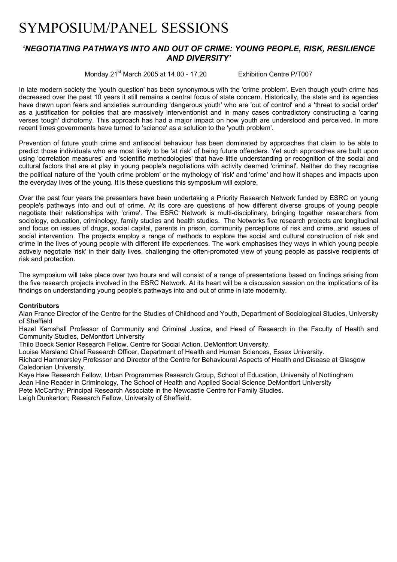# SYMPOSIUM/PANEL SESSIONS

## *'NEGOTIATING PATHWAYS INTO AND OUT OF CRIME: YOUNG PEOPLE, RISK, RESILIENCE AND DIVERSITY'*

Monday 21<sup>st</sup> March 2005 at 14.00 - 17.20 Exhibition Centre P/T007

In late modern society the 'youth question' has been synonymous with the 'crime problem'. Even though youth crime has decreased over the past 10 years it still remains a central focus of state concern. Historically, the state and its agencies have drawn upon fears and anxieties surrounding 'dangerous youth' who are 'out of control' and a 'threat to social order' as a justification for policies that are massively interventionist and in many cases contradictory constructing a 'caring verses tough' dichotomy. This approach has had a major impact on how youth are understood and perceived. In more recent times governments have turned to 'science' as a solution to the 'youth problem'.

Prevention of future youth crime and antisocial behaviour has been dominated by approaches that claim to be able to predict those individuals who are most likely to be 'at risk' of being future offenders. Yet such approaches are built upon using 'correlation measures' and 'scientific methodologies' that have little understanding or recognition of the social and cultural factors that are at play in young people's negotiations with activity deemed 'criminal'. Neither do they recognise the political nature of the 'youth crime problem' or the mythology of 'risk' and 'crime' and how it shapes and impacts upon the everyday lives of the young. It is these questions this symposium will explore.

Over the past four years the presenters have been undertaking a Priority Research Network funded by ESRC on young people's pathways into and out of crime. At its core are questions of how different diverse groups of young people negotiate their relationships with 'crime'. The ESRC Network is multi-disciplinary, bringing together researchers from sociology, education, criminology, family studies and health studies. The Networks five research projects are longitudinal and focus on issues of drugs, social capital, parents in prison, community perceptions of risk and crime, and issues of social intervention. The projects employ a range of methods to explore the social and cultural construction of risk and crime in the lives of young people with different life experiences. The work emphasises they ways in which young people actively negotiate 'risk' in their daily lives, challenging the often-promoted view of young people as passive recipients of risk and protection.

The symposium will take place over two hours and will consist of a range of presentations based on findings arising from the five research projects involved in the ESRC Network. At its heart will be a discussion session on the implications of its findings on understanding young people's pathways into and out of crime in late modernity.

#### **Contributors**

Alan France Director of the Centre for the Studies of Childhood and Youth, Department of Sociological Studies, University of Sheffield

Hazel Kemshall Professor of Community and Criminal Justice, and Head of Research in the Faculty of Health and Community Studies, DeMontfort University

Thilo Boeck Senior Research Fellow, Centre for Social Action, DeMontfort University.

Louise Marsland Chief Research Officer, Department of Health and Human Sciences, Essex University.

Richard Hammersley Professor and Director of the Centre for Behavioural Aspects of Health and Disease at Glasgow Caledonian University.

Kaye Haw Research Fellow, Urban Programmes Research Group, School of Education, University of Nottingham Jean Hine Reader in Criminology, The School of Health and Applied Social Science DeMontfort University

Pete McCarthy; Principal Research Associate in the Newcastle Centre for Family Studies.

Leigh Dunkerton; Research Fellow, University of Sheffield.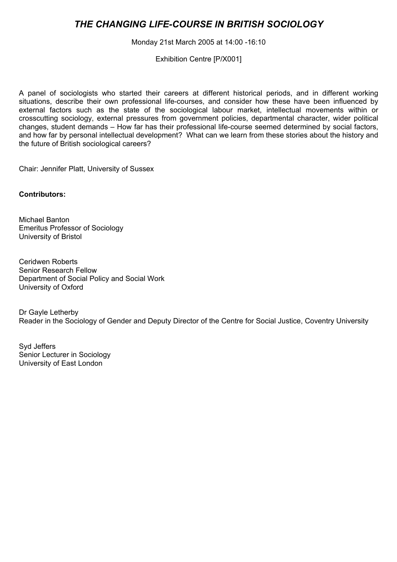# *THE CHANGING LIFE-COURSE IN BRITISH SOCIOLOGY*

Monday 21st March 2005 at 14:00 -16:10

Exhibition Centre [P/X001]

A panel of sociologists who started their careers at different historical periods, and in different working situations, describe their own professional life-courses, and consider how these have been influenced by external factors such as the state of the sociological labour market, intellectual movements within or crosscutting sociology, external pressures from government policies, departmental character, wider political changes, student demands – How far has their professional life-course seemed determined by social factors, and how far by personal intellectual development? What can we learn from these stories about the history and the future of British sociological careers?

Chair: Jennifer Platt, University of Sussex

**Contributors:** 

Michael Banton Emeritus Professor of Sociology University of Bristol

Ceridwen Roberts Senior Research Fellow Department of Social Policy and Social Work University of Oxford

Dr Gayle Letherby Reader in the Sociology of Gender and Deputy Director of the Centre for Social Justice, Coventry University

Syd Jeffers Senior Lecturer in Sociology University of East London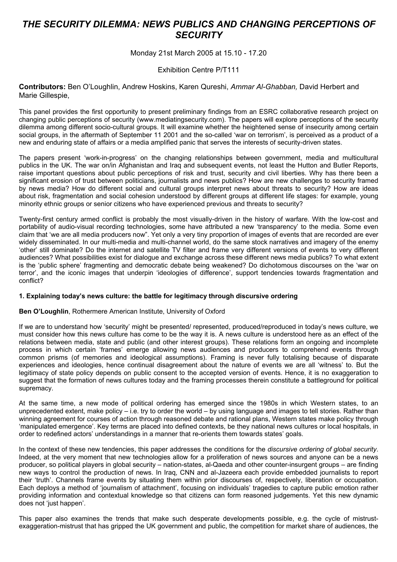# *THE SECURITY DILEMMA: NEWS PUBLICS AND CHANGING PERCEPTIONS OF SECURITY*

### Monday 21st March 2005 at 15.10 - 17.20

#### Exhibition Centre P/T111

**Contributors:** Ben O'Loughlin, Andrew Hoskins, Karen Qureshi, *Ammar Al-Ghabban,* David Herbert and Marie Gillespie,

This panel provides the first opportunity to present preliminary findings from an ESRC collaborative research project on changing public perceptions of security (www.mediatingsecurity.com). The papers will explore perceptions of the security dilemma among different socio-cultural groups. It will examine whether the heightened sense of insecurity among certain social groups, in the aftermath of September 11 2001 and the so-called 'war on terrorism', is perceived as a product of a new and enduring state of affairs or a media amplified panic that serves the interests of security-driven states.

The papers present 'work-in-progress' on the changing relationships between government, media and multicultural publics in the UK. The war on/in Afghanistan and Iraq and subsequent events, not least the Hutton and Butler Reports, raise important questions about public perceptions of risk and trust, security and civil liberties. Why has there been a significant erosion of trust between politicians, journalists and news publics? How are new challenges to security framed by news media? How do different social and cultural groups interpret news about threats to security? How are ideas about risk, fragmentation and social cohesion understood by different groups at different life stages: for example, young minority ethnic groups or senior citizens who have experienced previous and threats to security?

Twenty-first century armed conflict is probably the most visually-driven in the history of warfare. With the low-cost and portability of audio-visual recording technologies, some have attributed a new 'transparency' to the media. Some even claim that 'we are all media producers now". Yet only a very tiny proportion of images of events that are recorded are ever widely disseminated. In our multi-media and multi-channel world, do the same stock narratives and imagery of the enemy 'other' still dominate? Do the internet and satellite TV filter and frame very different versions of events to very different audiences? What possibilities exist for dialogue and exchange across these different news media publics? To what extent is the 'public sphere' fragmenting and democratic debate being weakened? Do dichotomous discourses on the 'war on terror', and the iconic images that underpin 'ideologies of difference', support tendencies towards fragmentation and conflict?

#### **1. Explaining today's news culture: the battle for legitimacy through discursive ordering**

#### **Ben O'Loughlin**, Rothermere American Institute, University of Oxford

If we are to understand how 'security' might be presented/ represented, produced/reproduced in today's news culture, we must consider how this news culture has come to be the way it is. A news culture is understood here as an effect of the relations between media, state and public (and other interest groups). These relations form an ongoing and incomplete process in which certain 'frames' emerge allowing news audiences and producers to comprehend events through common prisms (of memories and ideological assumptions). Framing is never fully totalising because of disparate experiences and ideologies, hence continual disagreement about the nature of events we are all 'witness' to. But the legitimacy of state policy depends on public consent to the accepted version of events. Hence, it is no exaggeration to suggest that the formation of news cultures today and the framing processes therein constitute a battleground for political supremacy.

At the same time, a new mode of political ordering has emerged since the 1980s in which Western states, to an unprecedented extent, make policy – i.e. try to order the world – by using language and images to tell stories. Rather than winning agreement for courses of action through reasoned debate and rational plans, Western states make policy through 'manipulated emergence'. Key terms are placed into defined contexts, be they national news cultures or local hospitals, in order to redefined actors' understandings in a manner that re-orients them towards states' goals.

In the context of these new tendencies, this paper addresses the conditions for the *discursive ordering of global security*. Indeed, at the very moment that new technologies allow for a proliferation of news sources and anyone can be a news producer, so political players in global security – nation-states, al-Qaeda and other counter-insurgent groups – are finding new ways to control the production of news. In Iraq, CNN and al-Jazeera each provide embedded journalists to report their 'truth'. Channels frame events by situating them within prior discourses of, respectively, liberation or occupation. Each deploys a method of 'journalism of attachment', focusing on individuals' tragedies to capture public emotion rather providing information and contextual knowledge so that citizens can form reasoned judgements. Yet this new dynamic does not 'just happen'.

This paper also examines the trends that make such desperate developments possible, e.g. the cycle of mistrustexaggeration-mistrust that has gripped the UK government and public, the competition for market share of audiences, the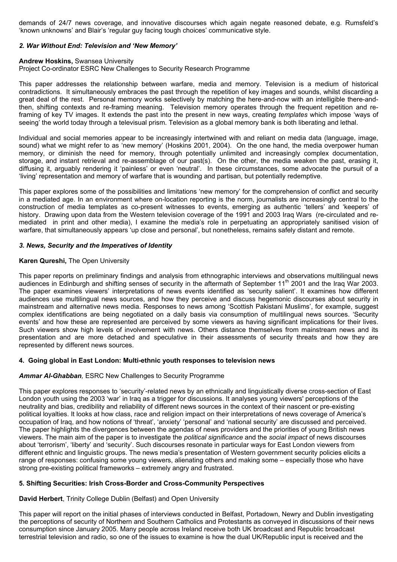demands of 24/7 news coverage, and innovative discourses which again negate reasoned debate, e.g. Rumsfeld's 'known unknowns' and Blair's 'regular guy facing tough choices' communicative style.

#### *2. War Without End: Television and 'New Memory'*

#### **Andrew Hoskins,** Swansea University

Project Co-ordinator ESRC New Challenges to Security Research Programme

This paper addresses the relationship between warfare, media and memory. Television is a medium of historical contradictions. It simultaneously embraces the past through the repetition of key images and sounds, whilst discarding a great deal of the rest. Personal memory works selectively by matching the here-and-now with an intelligible there-andthen, shifting contexts and re-framing meaning. Television memory operates through the frequent repetition and reframing of key TV images. It extends the past into the present in new ways, creating *templates* which impose 'ways of seeing' the world today through a televisual prism. Television as a global memory bank is both liberating and lethal.

Individual and social memories appear to be increasingly intertwined with and reliant on media data (language, image, sound) what we might refer to as 'new memory' (Hoskins 2001, 2004). On the one hand, the media overpower human memory, or diminish the need for memory, through potentially unlimited and increasingly complex documentation, storage, and instant retrieval and re-assemblage of our past(s). On the other, the media weaken the past, erasing it, diffusing it, arguably rendering it 'painless' or even 'neutral'. In these circumstances, some advocate the pursuit of a 'living' representation and memory of warfare that is wounding and partisan, but potentially redemptive.

This paper explores some of the possibilities and limitations 'new memory' for the comprehension of conflict and security in a mediated age. In an environment where on-location reporting is the norm, journalists are increasingly central to the construction of media templates as co-present witnesses to events, emerging as authentic 'tellers' and 'keepers' of history. Drawing upon data from the Western television coverage of the 1991 and 2003 Iraq Wars (re-circulated and remediated in print and other media), I examine the media's role in perpetuating an appropriately sanitised vision of warfare, that simultaneously appears 'up close and personal', but nonetheless, remains safely distant and remote.

#### *3. News, Security and the Imperatives of Identity*

#### **Karen Qureshi,** The Open University

This paper reports on preliminary findings and analysis from ethnographic interviews and observations multilingual news audiences in Edinburgh and shifting senses of security in the aftermath of September 11<sup>th</sup> 2001 and the Iraq War 2003. The paper examines viewers' interpretations of news events identified as 'security salient'. It examines how different audiences use multilingual news sources, and how they perceive and discuss hegemonic discourses about security in mainstream and alternative news media. Responses to news among 'Scottish Pakistani Muslims', for example, suggest complex identifications are being negotiated on a daily basis via consumption of multilingual news sources. 'Security events' and how these are represented are perceived by some viewers as having significant implications for their lives. Such viewers show high levels of involvement with news. Others distance themselves from mainstream news and its presentation and are more detached and speculative in their assessments of security threats and how they are represented by different news sources.

#### **4. Going global in East London: Multi-ethnic youth responses to television news**

#### *Ammar Al-Ghabban,* ESRC New Challenges to Security Programme

This paper explores responses to 'security'-related news by an ethnically and linguistically diverse cross-section of East London youth using the 2003 'war' in Iraq as a trigger for discussions. It analyses young viewers' perceptions of the neutrality and bias, credibility and reliability of different news sources in the context of their nascent or pre-existing political loyalties. It looks at how class, race and religion impact on their interpretations of news coverage of America's occupation of Iraq, and how notions of 'threat', 'anxiety' 'personal' and 'national security' are discussed and perceived. The paper highlights the divergences between the agendas of news providers and the priorities of young British news viewers. The main aim of the paper is to investigate the *political significance* and the *social impact* of news discourses about 'terrorism', 'liberty' and 'security'. Such discourses resonate in particular ways for East London viewers from different ethnic and linguistic groups. The news media's presentation of Western government security policies elicits a range of responses: confusing some young viewers, alienating others and making some – especially those who have strong pre-existing political frameworks – extremely angry and frustrated.

#### **5. Shifting Securities: Irish Cross-Border and Cross-Community Perspectives**

#### **David Herbert**, Trinity College Dublin (Belfast) and Open University

This paper will report on the initial phases of interviews conducted in Belfast, Portadown, Newry and Dublin investigating the perceptions of security of Northern and Southern Catholics and Protestants as conveyed in discussions of their news consumption since January 2005. Many people across Ireland receive both UK broadcast and Republic broadcast terrestrial television and radio, so one of the issues to examine is how the dual UK/Republic input is received and the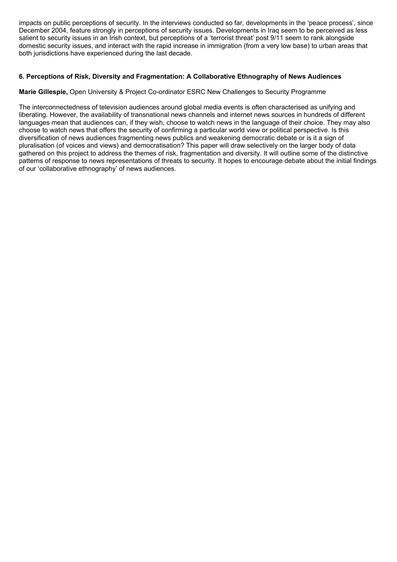impacts on public perceptions of security. In the interviews conducted so far, developments in the 'peace process', since December 2004, feature strongly in perceptions of security issues. Developments in Iraq seem to be perceived as less salient to security issues in an Irish context, but perceptions of a 'terrorist threat' post 9/11 seem to rank alongside domestic security issues, and interact with the rapid increase in immigration (from a very low base) to urban areas that both jurisdictions have experienced during the last decade.

### **6. Perceptions of Risk, Diversity and Fragmentation: A Collaborative Ethnography of News Audiences**

#### **Marie Gillespie,** Open University & Project Co-ordinator ESRC New Challenges to Security Programme

The interconnectedness of television audiences around global media events is often characterised as unifying and liberating. However, the availability of transnational news channels and internet news sources in hundreds of different languages mean that audiences can, if they wish, choose to watch news in the language of their choice. They may also choose to watch news that offers the security of confirming a particular world view or political perspective. Is this diversification of news audiences fragmenting news publics and weakening democratic debate or is it a sign of pluralisation (of voices and views) and democratisation? This paper will draw selectively on the larger body of data gathered on this project to address the themes of risk, fragmentation and diversity. It will outline some of the distinctive patterns of response to news representations of threats to security. It hopes to encourage debate about the initial findings of our 'collaborative ethnography' of news audiences.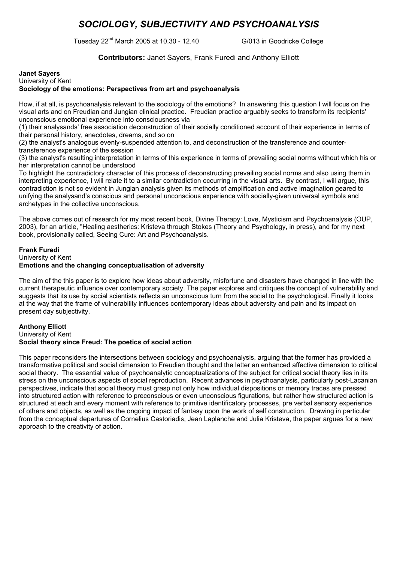# *SOCIOLOGY, SUBJECTIVITY AND PSYCHOANALYSIS*

Tuesday 22nd March 2005 at 10.30 - 12.40 G/013 in Goodricke College

**Contributors:** Janet Sayers, Frank Furedi and Anthony Elliott

#### **Janet Sayers**  University of Kent **Sociology of the emotions: Perspectives from art and psychoanalysis**

How, if at all, is psychoanalysis relevant to the sociology of the emotions? In answering this question I will focus on the visual arts and on Freudian and Jungian clinical practice. Freudian practice arguably seeks to transform its recipients' unconscious emotional experience into consciousness via

(1) their analysands' free association deconstruction of their socially conditioned account of their experience in terms of their personal history, anecdotes, dreams, and so on

(2) the analyst's analogous evenly-suspended attention to, and deconstruction of the transference and countertransference experience of the session

(3) the analyst's resulting interpretation in terms of this experience in terms of prevailing social norms without which his or her interpretation cannot be understood

To highlight the contradictory character of this process of deconstructing prevailing social norms and also using them in interpreting experience, I will relate it to a similar contradiction occurring in the visual arts. By contrast, I will argue, this contradiction is not so evident in Jungian analysis given its methods of amplification and active imagination geared to unifying the analysand's conscious and personal unconscious experience with socially-given universal symbols and archetypes in the collective unconscious.

The above comes out of research for my most recent book, Divine Therapy: Love, Mysticism and Psychoanalysis (OUP, 2003), for an article, "Healing aestherics: Kristeva through Stokes (Theory and Psychology, in press), and for my next book, provisionally called, Seeing Cure: Art and Psychoanalysis.

#### **Frank Furedi**  University of Kent **Emotions and the changing conceptualisation of adversity**

The aim of the this paper is to explore how ideas about adversity, misfortune and disasters have changed in line with the current therapeutic influence over contemporary society. The paper explores and critiques the concept of vulnerability and suggests that its use by social scientists reflects an unconscious turn from the social to the psychological. Finally it looks at the way that the frame of vulnerability influences contemporary ideas about adversity and pain and its impact on present day subjectivity.

#### **Anthony Elliott**  University of Kent **Social theory since Freud: The poetics of social action**

This paper reconsiders the intersections between sociology and psychoanalysis, arguing that the former has provided a transformative political and social dimension to Freudian thought and the latter an enhanced affective dimension to critical social theory. The essential value of psychoanalytic conceptualizations of the subject for critical social theory lies in its stress on the unconscious aspects of social reproduction. Recent advances in psychoanalysis, particularly post-Lacanian perspectives, indicate that social theory must grasp not only how individual dispositions or memory traces are pressed into structured action with reference to preconscious or even unconscious figurations, but rather how structured action is structured at each and every moment with reference to primitive identificatory processes, pre verbal sensory experience of others and objects, as well as the ongoing impact of fantasy upon the work of self construction. Drawing in particular from the conceptual departures of Cornelius Castoriadis, Jean Laplanche and Julia Kristeva, the paper argues for a new approach to the creativity of action.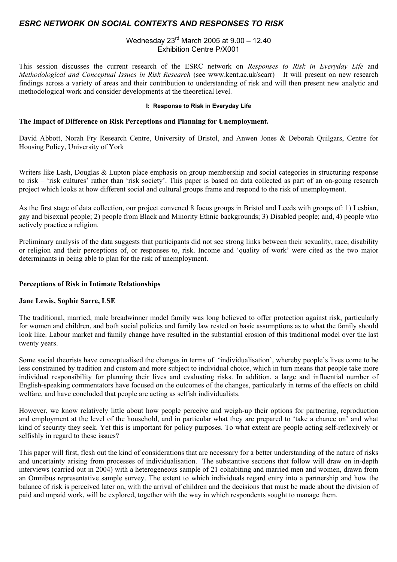### *ESRC NETWORK ON SOCIAL CONTEXTS AND RESPONSES TO RISK*

### Wednesday 23rd March 2005 at 9.00 – 12.40 Exhibition Centre P/X001

This session discusses the current research of the ESRC network on *Responses to Risk in Everyday Life* and *Methodological and Conceptual Issues in Risk Research* (see www.kent.ac.uk/scarr) It will present on new research findings across a variety of areas and their contribution to understanding of risk and will then present new analytic and methodological work and consider developments at the theoretical level.

#### **I: Response to Risk in Everyday Life**

#### **The Impact of Difference on Risk Perceptions and Planning for Unemployment.**

David Abbott, Norah Fry Research Centre, University of Bristol, and Anwen Jones & Deborah Quilgars, Centre for Housing Policy, University of York

Writers like Lash, Douglas & Lupton place emphasis on group membership and social categories in structuring response to risk – 'risk cultures' rather than 'risk society'. This paper is based on data collected as part of an on-going research project which looks at how different social and cultural groups frame and respond to the risk of unemployment.

As the first stage of data collection, our project convened 8 focus groups in Bristol and Leeds with groups of: 1) Lesbian, gay and bisexual people; 2) people from Black and Minority Ethnic backgrounds; 3) Disabled people; and, 4) people who actively practice a religion.

Preliminary analysis of the data suggests that participants did not see strong links between their sexuality, race, disability or religion and their perceptions of, or responses to, risk. Income and 'quality of work' were cited as the two major determinants in being able to plan for the risk of unemployment.

#### **Perceptions of Risk in Intimate Relationships**

#### **Jane Lewis, Sophie Sarre, LSE**

The traditional, married, male breadwinner model family was long believed to offer protection against risk, particularly for women and children, and both social policies and family law rested on basic assumptions as to what the family should look like. Labour market and family change have resulted in the substantial erosion of this traditional model over the last twenty years.

Some social theorists have conceptualised the changes in terms of 'individualisation', whereby people's lives come to be less constrained by tradition and custom and more subject to individual choice, which in turn means that people take more individual responsibility for planning their lives and evaluating risks. In addition, a large and influential number of English-speaking commentators have focused on the outcomes of the changes, particularly in terms of the effects on child welfare, and have concluded that people are acting as selfish individualists.

However, we know relatively little about how people perceive and weigh-up their options for partnering, reproduction and employment at the level of the household, and in particular what they are prepared to 'take a chance on' and what kind of security they seek. Yet this is important for policy purposes. To what extent are people acting self-reflexively or selfishly in regard to these issues?

This paper will first, flesh out the kind of considerations that are necessary for a better understanding of the nature of risks and uncertainty arising from processes of individualisation. The substantive sections that follow will draw on in-depth interviews (carried out in 2004) with a heterogeneous sample of 21 cohabiting and married men and women, drawn from an Omnibus representative sample survey. The extent to which individuals regard entry into a partnership and how the balance of risk is perceived later on, with the arrival of children and the decisions that must be made about the division of paid and unpaid work, will be explored, together with the way in which respondents sought to manage them.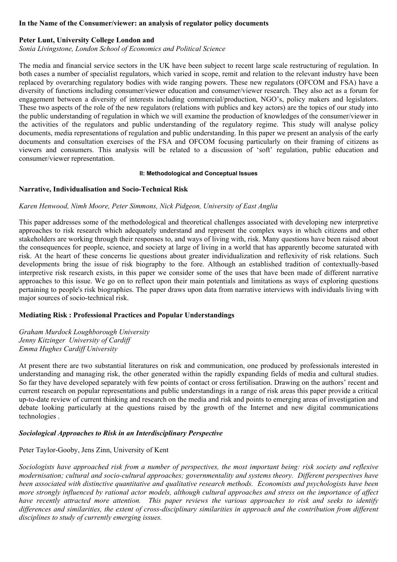#### **In the Name of the Consumer/viewer: an analysis of regulator policy documents**

#### **Peter Lunt, University College London and**

*Sonia Livingstone, London School of Economics and Political Science* 

The media and financial service sectors in the UK have been subject to recent large scale restructuring of regulation. In both cases a number of specialist regulators, which varied in scope, remit and relation to the relevant industry have been replaced by overarching regulatory bodies with wide ranging powers. These new regulators (OFCOM and FSA) have a diversity of functions including consumer/viewer education and consumer/viewer research. They also act as a forum for engagement between a diversity of interests including commercial/production, NGO's, policy makers and legislators. These two aspects of the role of the new regulators (relations with publics and key actors) are the topics of our study into the public understanding of regulation in which we will examine the production of knowledges of the consumer/viewer in the activities of the regulators and public understanding of the regulatory regime. This study will analyse policy documents, media representations of regulation and public understanding. In this paper we present an analysis of the early documents and consultation exercises of the FSA and OFCOM focusing particularly on their framing of citizens as viewers and consumers. This analysis will be related to a discussion of 'soft' regulation, public education and consumer/viewer representation.

#### **II: Methodological and Conceptual Issues**

### **Narrative, Individualisation and Socio-Technical Risk**

### *Karen Henwood, Nimh Moore, Peter Simmons, Nick Pidgeon, University of East Anglia*

This paper addresses some of the methodological and theoretical challenges associated with developing new interpretive approaches to risk research which adequately understand and represent the complex ways in which citizens and other stakeholders are working through their responses to, and ways of living with, risk. Many questions have been raised about the consequences for people, science, and society at large of living in a world that has apparently become saturated with risk. At the heart of these concerns lie questions about greater individualization and reflexivity of risk relations. Such developments bring the issue of risk biography to the fore. Although an established tradition of contextually-based interpretive risk research exists, in this paper we consider some of the uses that have been made of different narrative approaches to this issue. We go on to reflect upon their main potentials and limitations as ways of exploring questions pertaining to people's risk biographies. The paper draws upon data from narrative interviews with individuals living with major sources of socio-technical risk.

### **Mediating Risk : Professional Practices and Popular Understandings**

*Graham Murdock Loughborough University Jenny Kitzinger University of Cardiff Emma Hughes Cardiff University*

At present there are two substantial literatures on risk and communication, one produced by professionals interested in understanding and managing risk, the other generated within the rapidly expanding fields of media and cultural studies. So far they have developed separately with few points of contact or cross fertilisation. Drawing on the authors' recent and current research on popular representations and public understandings in a range of risk areas this paper provide a critical up-to-date review of current thinking and research on the media and risk and points to emerging areas of investigation and debate looking particularly at the questions raised by the growth of the Internet and new digital communications technologies .

### *Sociological Approaches to Risk in an Interdisciplinary Perspective*

## Peter Taylor-Gooby, Jens Zinn, University of Kent

*Sociologists have approached risk from a number of perspectives, the most important being: risk society and reflexive modernisation; cultural and socio-cultural approaches; governmentality and systems theory. Different perspectives have been associated with distinctive quantitative and qualitative research methods. Economists and psychologists have been more strongly influenced by rational actor models, although cultural approaches and stress on the importance of affect have recently attracted more attention. This paper reviews the various approaches to risk and seeks to identify differences and similarities, the extent of cross-disciplinary similarities in approach and the contribution from different disciplines to study of currently emerging issues.*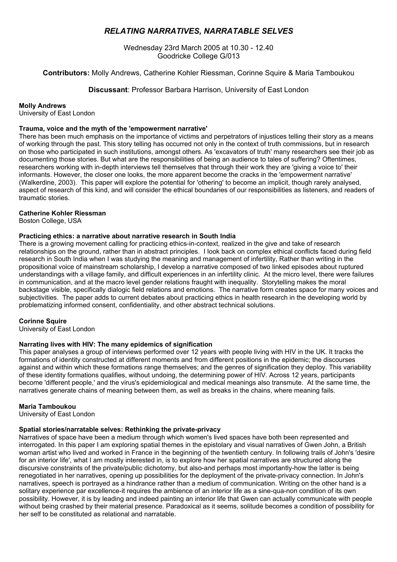## *RELATING NARRATIVES, NARRATABLE SELVES*

Wednesday 23rd March 2005 at 10.30 - 12.40 Goodricke College G/013

**Contributors:** Molly Andrews, Catherine Kohler Riessman, Corinne Squire & Maria Tamboukou

**Discussant**: Professor Barbara Harrison, University of East London

**Molly Andrews** 

University of East London

#### **Trauma, voice and the myth of the 'empowerment narrative'**

There has been much emphasis on the importance of victims and perpetrators of injustices telling their story as a means of working through the past. This story telling has occurred not only in the context of truth commissions, but in research on those who participated in such institutions, amongst others. As 'excavators of truth' many researchers see their job as documenting those stories. But what are the responsibilities of being an audience to tales of suffering? Oftentimes, researchers working with in-depth interviews tell themselves that through their work they are 'giving a voice to' their informants. However, the closer one looks, the more apparent become the cracks in the 'empowerment narrative' (Walkerdine, 2003). This paper will explore the potential for 'othering' to become an implicit, though rarely analysed, aspect of research of this kind, and will consider the ethical boundaries of our responsibilities as listeners, and readers of traumatic stories.

#### **Catherine Kohler Riessman**

Boston College, USA

#### **Practicing ethics: a narrative about narrative research in South India**

There is a growing movement calling for practicing ethics-in-context, realized in the give and take of research relationships on the ground, rather than in abstract principles. I look back on complex ethical conflicts faced during field research in South India when I was studying the meaning and management of infertility, Rather than writing in the propositional voice of mainstream scholarship, I develop a narrative composed of two linked episodes about ruptured understandings with a village family, and difficult experiences in an infertility clinic. At the micro level, there were failures in communication, and at the macro level gender relations fraught with inequality. Storytelling makes the moral backstage visible, specifically dialogic field relations and emotions. The narrative form creates space for many voices and subjectivities. The paper adds to current debates about practicing ethics in health research in the developing world by problematizing informed consent, confidentiality, and other abstract technical solutions.

#### **Corinne Squire**

University of East London

#### **Narrating lives with HIV: The many epidemics of signification**

This paper analyses a group of interviews performed over 12 years with people living with HIV in the UK. It tracks the formations of identity constructed at different moments and from different positions in the epidemic; the discourses against and within which these formations range themselves; and the genres of signification they deploy. This variability of these identity formations qualifies, without undoing, the determining power of HIV. Across 12 years, participants become 'different people,' and the virus's epidemiological and medical meanings also transmute. At the same time, the narratives generate chains of meaning between them, as well as breaks in the chains, where meaning fails.

#### **Maria Tamboukou**

University of East London

#### **Spatial stories/narratable selves: Rethinking the private-privacy**

Narratives of space have been a medium through which women's lived spaces have both been represented and interrogated. In this paper I am exploring spatial themes in the epistolary and visual narratives of Gwen John, a British woman artist who lived and worked in France in the beginning of the twentieth century. In following trails of John's 'desire for an interior life', what I am mostly interested in, is to explore how her spatial narratives are structured along the discursive constraints of the private/public dichotomy, but also-and perhaps most importantly-how the latter is being renegotiated in her narratives, opening up possibilities for the deployment of the private-privacy connection. In John's narratives, speech is portrayed as a hindrance rather than a medium of communication. Writing on the other hand is a solitary experience par excellence-it requires the ambience of an interior life as a sine-qua-non condition of its own possibility. However, it is by leading and indeed painting an interior life that Gwen can actually communicate with people without being crashed by their material presence. Paradoxical as it seems, solitude becomes a condition of possibility for her self to be constituted as relational and narratable.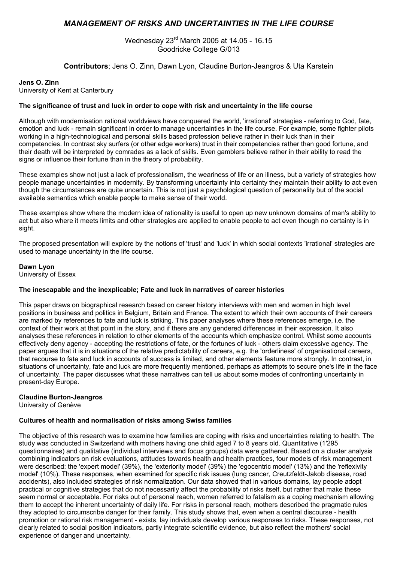### *MANAGEMENT OF RISKS AND UNCERTAINTIES IN THE LIFE COURSE*

Wednesday 23rd March 2005 at 14.05 - 16.15 Goodricke College G/013

**Contributors**; Jens O. Zinn, Dawn Lyon, Claudine Burton-Jeangros & Uta Karstein

#### **Jens O. Zinn**

University of Kent at Canterbury

#### **The significance of trust and luck in order to cope with risk and uncertainty in the life course**

Although with modernisation rational worldviews have conquered the world, 'irrational' strategies - referring to God, fate, emotion and luck - remain significant in order to manage uncertainties in the life course. For example, some fighter pilots working in a high-technological and personal skills based profession believe rather in their luck than in their competencies. In contrast sky surfers (or other edge workers) trust in their competencies rather than good fortune, and their death will be interpreted by comrades as a lack of skills. Even gamblers believe rather in their ability to read the signs or influence their fortune than in the theory of probability.

These examples show not just a lack of professionalism, the weariness of life or an illness, but a variety of strategies how people manage uncertainties in modernity. By transforming uncertainty into certainty they maintain their ability to act even though the circumstances are quite uncertain. This is not just a psychological question of personality but of the social available semantics which enable people to make sense of their world.

These examples show where the modern idea of rationality is useful to open up new unknown domains of man's ability to act but also where it meets limits and other strategies are applied to enable people to act even though no certainty is in sight.

The proposed presentation will explore by the notions of 'trust' and 'luck' in which social contexts 'irrational' strategies are used to manage uncertainty in the life course.

**Dawn Lyon** 

University of Essex

#### **The inescapable and the inexplicable; Fate and luck in narratives of career histories**

This paper draws on biographical research based on career history interviews with men and women in high level positions in business and politics in Belgium, Britain and France. The extent to which their own accounts of their careers are marked by references to fate and luck is striking. This paper analyses where these references emerge, i.e. the context of their work at that point in the story, and if there are any gendered differences in their expression. It also analyses these references in relation to other elements of the accounts which emphasize control. Whilst some accounts effectively deny agency - accepting the restrictions of fate, or the fortunes of luck - others claim excessive agency. The paper argues that it is in situations of the relative predictability of careers, e.g. the 'orderliness' of organisational careers, that recourse to fate and luck in accounts of success is limited, and other elements feature more strongly. In contrast, in situations of uncertainty, fate and luck are more frequently mentioned, perhaps as attempts to secure one's life in the face of uncertainty. The paper discusses what these narratives can tell us about some modes of confronting uncertainty in present-day Europe.

#### **Claudine Burton-Jeangros**

University of Genève

#### **Cultures of health and normalisation of risks among Swiss families**

The objective of this research was to examine how families are coping with risks and uncertainties relating to health. The study was conducted in Switzerland with mothers having one child aged 7 to 8 years old. Quantitative (1'295 questionnaires) and qualitative (individual interviews and focus groups) data were gathered. Based on a cluster analysis combining indicators on risk evaluations, attitudes towards health and health practices, four models of risk management were described: the 'expert model' (39%), the 'exteriority model' (39%) the 'egocentric model' (13%) and the 'reflexivity model' (10%). These responses, when examined for specific risk issues (lung cancer, Creutzfeldt-Jakob disease, road accidents), also included strategies of risk normalization. Our data showed that in various domains, lay people adopt practical or cognitive strategies that do not necessarily affect the probability of risks itself, but rather that make these seem normal or acceptable. For risks out of personal reach, women referred to fatalism as a coping mechanism allowing them to accept the inherent uncertainty of daily life. For risks in personal reach, mothers described the pragmatic rules they adopted to circumscribe danger for their family. This study shows that, even when a central discourse - health promotion or rational risk management - exists, lay individuals develop various responses to risks. These responses, not clearly related to social position indicators, partly integrate scientific evidence, but also reflect the mothers' social experience of danger and uncertainty.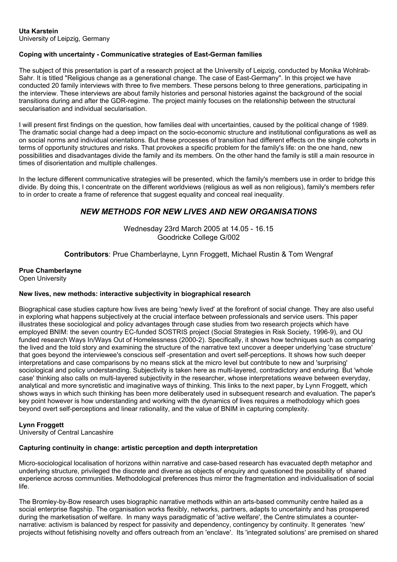### **Uta Karstein**

University of Leipzig, Germany

#### **Coping with uncertainty - Communicative strategies of East-German families**

The subject of this presentation is part of a research project at the University of Leipzig, conducted by Monika Wohlrab-Sahr. It is titled "Religious change as a generational change. The case of East-Germany". In this project we have conducted 20 family interviews with three to five members. These persons belong to three generations, participating in the interview. These interviews are about family histories and personal histories against the background of the social transitions during and after the GDR-regime. The project mainly focuses on the relationship between the structural secularisation and individual secularisation.

I will present first findings on the question, how families deal with uncertainties, caused by the political change of 1989. The dramatic social change had a deep impact on the socio-economic structure and institutional configurations as well as on social norms and individual orientations. But these processes of transition had different effects on the single cohorts in terms of opportunity structures and risks. That provokes a specific problem for the family's life: on the one hand, new possibilities and disadvantages divide the family and its members. On the other hand the family is still a main resource in times of disorientation and multiple challenges.

In the lecture different communicative strategies will be presented, which the family's members use in order to bridge this divide. By doing this, I concentrate on the different worldviews (religious as well as non religious), family's members refer to in order to create a frame of reference that suggest equality and conceal real inequality.

### *NEW METHODS FOR NEW LIVES AND NEW ORGANISATIONS*

Wednesday 23rd March 2005 at 14.05 - 16.15 Goodricke College G/002

**Contributors**: Prue Chamberlayne, Lynn Froggett, Michael Rustin & Tom Wengraf

**Prue Chamberlayne**  Open University

#### **New lives, new methods: interactive subjectivity in biographical research**

Biographical case studies capture how lives are being 'newly lived' at the forefront of social change. They are also useful in exploring what happens subjectively at the crucial interface between professionals and service users. This paper illustrates these sociological and policy advantages through case studies from two research projects which have employed BNIM: the seven country EC-funded SOSTRIS project (Social Strategies in Risk Society, 1996-9), and OU funded research Ways In/Ways Out of Homelessness (2000-2). Specifically, it shows how techniques such as comparing the lived and the told story and examining the structure of the narrative text uncover a deeper underlying 'case structure' that goes beyond the interviewee's conscious self -presentation and overt self-perceptions. It shows how such deeper interpretations and case comparisons by no means stick at the micro level but contribute to new and 'surprising' sociological and policy understanding. Subjectivity is taken here as multi-layered, contradictory and enduring. But 'whole case' thinking also calls on multi-layered subjectivity in the researcher, whose interpretations weave between everyday, analytical and more syncretistic and imaginative ways of thinking. This links to the next paper, by Lynn Froggett, which shows ways in which such thinking has been more deliberately used in subsequent research and evaluation. The paper's key point however is how understanding and working with the dynamics of lives requires a methodology which goes beyond overt self-perceptions and linear rationality, and the value of BNIM in capturing complexity.

#### **Lynn Froggett**

University of Central Lancashire

#### **Capturing continuity in change: artistic perception and depth interpretation**

Micro-sociological localisation of horizons within narrative and case-based research has evacuated depth metaphor and underlying structure, privileged the discrete and diverse as objects of enquiry and questioned the possibility of shared experience across communities. Methodological preferences thus mirror the fragmentation and individualisation of social life.

The Bromley-by-Bow research uses biographic narrative methods within an arts-based community centre hailed as a social enterprise flagship. The organisation works flexibly, networks, partners, adapts to uncertainty and has prospered during the marketisation of welfare. In many ways paradigmatic of 'active welfare', the Centre stimulates a counternarrative: activism is balanced by respect for passivity and dependency, contingency by continuity. It generates 'new' projects without fetishising novelty and offers outreach from an 'enclave'. Its 'integrated solutions' are premised on shared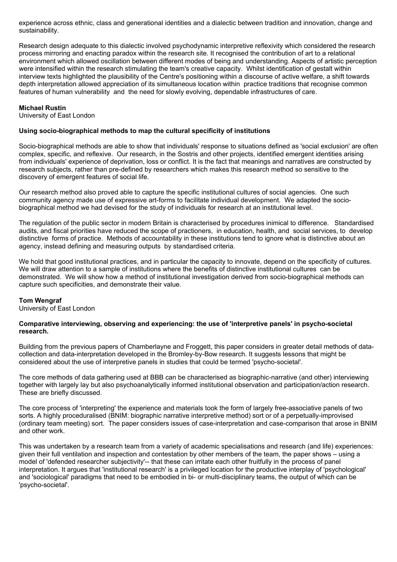experience across ethnic, class and generational identities and a dialectic between tradition and innovation, change and sustainability.

Research design adequate to this dialectic involved psychodynamic interpretive reflexivity which considered the research process mirroring and enacting paradox within the research site. It recognised the contribution of art to a relational environment which allowed oscillation between different modes of being and understanding. Aspects of artistic perception were intensified within the research stimulating the team's creative capacity. Whilst identification of gestalt within interview texts highlighted the plausibility of the Centre's positioning within a discourse of active welfare, a shift towards depth interpretation allowed appreciation of its simultaneous location within practice traditions that recognise common features of human vulnerability and the need for slowly evolving, dependable infrastructures of care.

#### **Michael Rustin**

University of East London

#### **Using socio-biographical methods to map the cultural specificity of institutions**

Socio-biographical methods are able to show that individuals' response to situations defined as 'social exclusion' are often complex, specific, and reflexive. Our research, in the Sostris and other projects, identified emergent identities arising from individuals' experience of deprivation, loss or conflict. It is the fact that meanings and narratives are constructed by research subjects, rather than pre-defined by researchers which makes this research method so sensitive to the discovery of emergent features of social life.

Our research method also proved able to capture the specific institutional cultures of social agencies. One such community agency made use of expressive art-forms to facilitate individual development. We adapted the sociobiographical method we had devised for the study of individuals for research at an institutional level.

The regulation of the public sector in modern Britain is characterised by procedures inimical to difference. Standardised audits, and fiscal priorities have reduced the scope of practioners, in education, health, and social services, to develop distinctive forms of practice. Methods of accountability in these institutions tend to ignore what is distinctive about an agency, instead defining and measuring outputs by standardised criteria.

We hold that good institutional practices, and in particular the capacity to innovate, depend on the specificity of cultures. We will draw attention to a sample of institutions where the benefits of distinctive institutional cultures can be demonstrated. We will show how a method of institutional investigation derived from socio-biographical methods can capture such specificities, and demonstrate their value.

#### **Tom Wengraf**

University of East London

#### **Comparative interviewing, observing and experiencing: the use of 'interpretive panels' in psycho-societal research.**

Building from the previous papers of Chamberlayne and Froggett, this paper considers in greater detail methods of datacollection and data-interpretation developed in the Bromley-by-Bow research. It suggests lessons that might be considered about the use of interpretive panels in studies that could be termed 'psycho-societal'.

The core methods of data gathering used at BBB can be characterised as biographic-narrative (and other) interviewing together with largely lay but also psychoanalytically informed institutional observation and participation/action research. These are briefly discussed.

The core process of 'interpreting' the experience and materials took the form of largely free-associative panels of two sorts. A highly proceduralised (BNIM: biographic narrative interpretive method) sort or of a perpetually-improvised (ordinary team meeting) sort. The paper considers issues of case-interpretation and case-comparison that arose in BNIM and other work.

This was undertaken by a research team from a variety of academic specialisations and research (and life) experiences: given their full ventilation and inspection and contestation by other members of the team, the paper shows – using a model of 'defended researcher subjectivity'-- that these can irritate each other fruitfully in the process of panel interpretation. It argues that 'institutional research' is a privileged location for the productive interplay of 'psychological' and 'sociological' paradigms that need to be embodied in bi- or multi-disciplinary teams, the output of which can be 'psycho-societal'.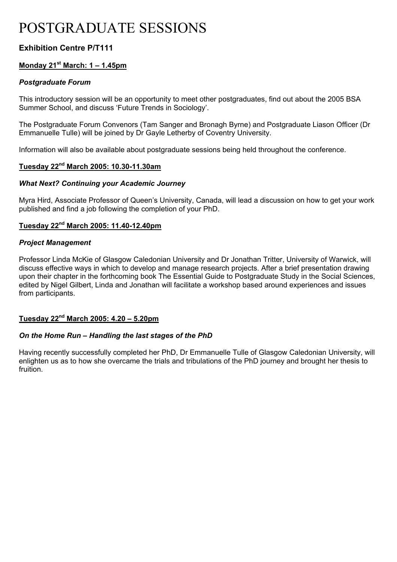# POSTGRADUATE SESSIONS

### **Exhibition Centre P/T111**

### **Monday 21st March: 1 – 1.45pm**

### *Postgraduate Forum*

This introductory session will be an opportunity to meet other postgraduates, find out about the 2005 BSA Summer School, and discuss 'Future Trends in Sociology'.

The Postgraduate Forum Convenors (Tam Sanger and Bronagh Byrne) and Postgraduate Liason Officer (Dr Emmanuelle Tulle) will be joined by Dr Gayle Letherby of Coventry University.

Information will also be available about postgraduate sessions being held throughout the conference.

### **Tuesday 22nd March 2005: 10.30-11.30am**

### *What Next? Continuing your Academic Journey*

Myra Hird, Associate Professor of Queen's University, Canada, will lead a discussion on how to get your work published and find a job following the completion of your PhD.

### **Tuesday 22nd March 2005: 11.40-12.40pm**

### *Project Management*

Professor Linda McKie of Glasgow Caledonian University and Dr Jonathan Tritter, University of Warwick, will discuss effective ways in which to develop and manage research projects. After a brief presentation drawing upon their chapter in the forthcoming book The Essential Guide to Postgraduate Study in the Social Sciences, edited by Nigel Gilbert, Linda and Jonathan will facilitate a workshop based around experiences and issues from participants.

### **Tuesday 22nd March 2005: 4.20 – 5.20pm**

### *On the Home Run – Handling the last stages of the PhD*

Having recently successfully completed her PhD, Dr Emmanuelle Tulle of Glasgow Caledonian University, will enlighten us as to how she overcame the trials and tribulations of the PhD journey and brought her thesis to fruition.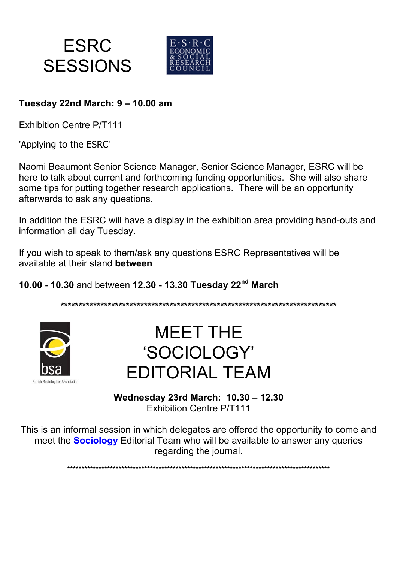



# **Tuesday 22nd March: 9 – 10.00 am**

Exhibition Centre P/T111

'Applying to the ESRC'

Naomi Beaumont Senior Science Manager, Senior Science Manager, ESRC will be here to talk about current and forthcoming funding opportunities. She will also share some tips for putting together research applications. There will be an opportunity afterwards to ask any questions.

In addition the ESRC will have a display in the exhibition area providing hand-outs and information all day Tuesday.

If you wish to speak to them/ask any questions ESRC Representatives will be available at their stand **between** 

**10.00 - 10.30** and between **12.30 - 13.30 Tuesday 22nd March** 

**\*\*\*\*\*\*\*\*\*\*\*\*\*\*\*\*\*\*\*\*\*\*\*\*\*\*\*\*\*\*\*\*\*\*\*\*\*\*\*\*\*\*\*\*\*\*\*\*\*\*\*\*\*\*\*\*\*\*\*\*\*\*\*\*\*\*\*\*\*\*\*\*\*\*\*\*** 



MEET THE 'SOCIOLOGY' EDITORIAL TEAM

**Wednesday 23rd March: 10.30 – 12.30** Exhibition Centre P/T111

This is an informal session in which delegates are offered the opportunity to come and meet the **Sociology** Editorial Team who will be available to answer any queries regarding the journal.

\*\*\*\*\*\*\*\*\*\*\*\*\*\*\*\*\*\*\*\*\*\*\*\*\*\*\*\*\*\*\*\*\*\*\*\*\*\*\*\*\*\*\*\*\*\*\*\*\*\*\*\*\*\*\*\*\*\*\*\*\*\*\*\*\*\*\*\*\*\*\*\*\*\*\*\*\*\*\*\*\*\*\*\*\*\*\*\*\*\*\*\*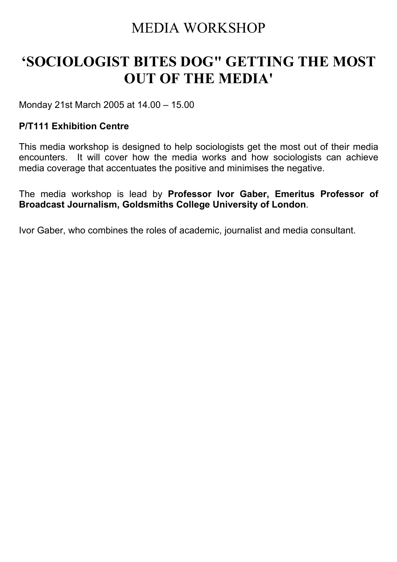# MEDIA WORKSHOP

# **'SOCIOLOGIST BITES DOG" GETTING THE MOST OUT OF THE MEDIA'**

Monday 21st March 2005 at 14.00 – 15.00

## **P/T111 Exhibition Centre**

This media workshop is designed to help sociologists get the most out of their media encounters. It will cover how the media works and how sociologists can achieve media coverage that accentuates the positive and minimises the negative.

The media workshop is lead by **Professor Ivor Gaber, Emeritus Professor of Broadcast Journalism, Goldsmiths College University of London**.

Ivor Gaber, who combines the roles of academic, journalist and media consultant.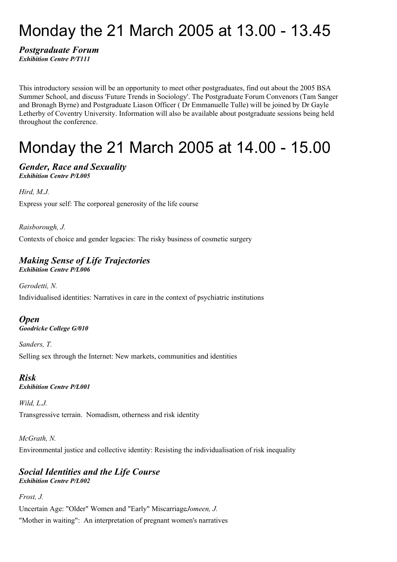# Monday the 21 March 2005 at 13.00 - 13.45

### *Postgraduate Forum Exhibition Centre P/T111*

This introductory session will be an opportunity to meet other postgraduates, find out about the 2005 BSA Summer School, and discuss 'Future Trends in Sociology'. The Postgraduate Forum Convenors (Tam Sanger and Bronagh Byrne) and Postgraduate Liason Officer ( Dr Emmanuelle Tulle) will be joined by Dr Gayle Letherby of Coventry University. Information will also be available about postgraduate sessions being held throughout the conference.

# Monday the 21 March 2005 at 14.00 - 15.00

### *Gender, Race and Sexuality Exhibition Centre P/L005*

*Hird, M.J.*

Express your self: The corporeal generosity of the life course

*Raisborough, J.* Contexts of choice and gender legacies: The risky business of cosmetic surgery

# *Making Sense of Life Trajectories*

*Exhibition Centre P/L006*

*Gerodetti, N.* Individualised identities: Narratives in care in the context of psychiatric institutions

### *Open Goodricke College G/010*

*Sanders, T.* Selling sex through the Internet: New markets, communities and identities

### *Risk Exhibition Centre P/L001*

### *Wild, L.J.*

Transgressive terrain. Nomadism, otherness and risk identity

### *McGrath, N.*

Environmental justice and collective identity: Resisting the individualisation of risk inequality

### *Social Identities and the Life Course Exhibition Centre P/L002*

*Frost, J.*

Uncertain Age: "Older" Women and "Early" Miscarriage*Jomeen, J.*

"Mother in waiting": An interpretation of pregnant women's narratives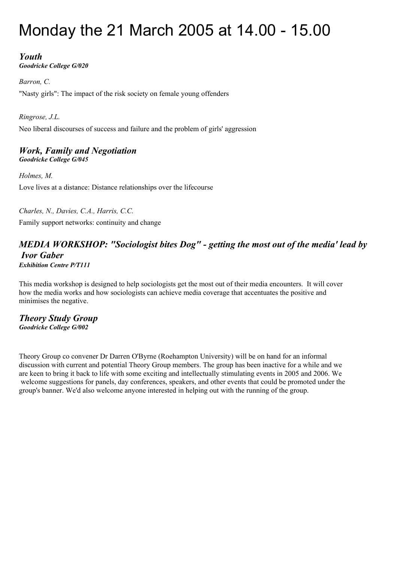# Monday the 21 March 2005 at 14.00 - 15.00

## *Youth*

*Goodricke College G/020*

*Barron, C.*

"Nasty girls": The impact of the risk society on female young offenders

*Ringrose, J.L.* Neo liberal discourses of success and failure and the problem of girls' aggression

### *Work, Family and Negotiation Goodricke College G/045*

*Holmes, M.* Love lives at a distance: Distance relationships over the lifecourse

*Charles, N., Davies, C.A., Harris, C.C.*

Family support networks: continuity and change

### *MEDIA WORKSHOP: "Sociologist bites Dog" - getting the most out of the media' lead by Ivor Gaber Exhibition Centre P/T111*

This media workshop is designed to help sociologists get the most out of their media encounters. It will cover how the media works and how sociologists can achieve media coverage that accentuates the positive and minimises the negative.

*Theory Study Group Goodricke College G/002*

Theory Group co convener Dr Darren O'Byrne (Roehampton University) will be on hand for an informal discussion with current and potential Theory Group members. The group has been inactive for a while and we are keen to bring it back to life with some exciting and intellectually stimulating events in 2005 and 2006. We welcome suggestions for panels, day conferences, speakers, and other events that could be promoted under the group's banner. We'd also welcome anyone interested in helping out with the running of the group.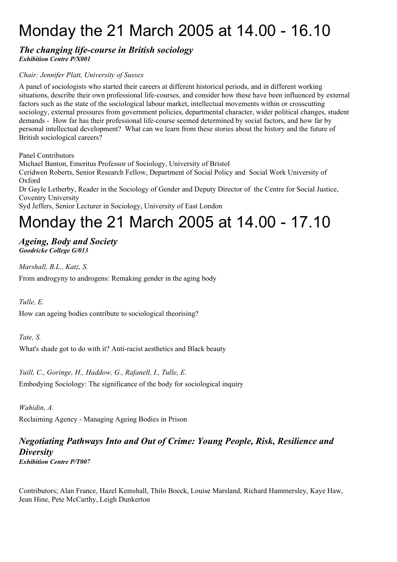# Monday the 21 March 2005 at 14.00 - 16.10

### *The changing life-course in British sociology Exhibition Centre P/X001*

### *Chair: Jennifer Platt, University of Sussex*

A panel of sociologists who started their careers at different historical periods, and in different working situations, describe their own professional life-courses, and consider how these have been influenced by external factors such as the state of the sociological labour market, intellectual movements within or crosscutting sociology, external pressures from government policies, departmental character, wider political changes, student demands - How far has their professional life-course seemed determined by social factors, and how far by personal intellectual development? What can we learn from these stories about the history and the future of British sociological careers?

Panel Contributors

Michael Banton, Emeritus Professor of Sociology, University of Bristol

Ceridwen Roberts, Senior Research Fellow, Department of Social Policy and Social Work University of Oxford

Dr Gayle Letherby, Reader in the Sociology of Gender and Deputy Director of the Centre for Social Justice, Coventry University

Syd Jeffers, Senior Lecturer in Sociology, University of East London

# Monday the 21 March 2005 at 14.00 - 17.10

### *Ageing, Body and Society Goodricke College G/013*

*Marshall, B.L., Katz, S.*

From androgyny to androgens: Remaking gender in the aging body

### *Tulle, E.*

How can ageing bodies contribute to sociological theorising?

### *Tate, S.*

What's shade got to do with it? Anti-racist aesthetics and Black beauty

*Yuill, C., Goringe, H., Haddow, G., Rafanell, I., Tulle, E.* Embodying Sociology: The significance of the body for sociological inquiry

*Wahidin, A.*

Reclaiming Agency - Managing Ageing Bodies in Prison

### *Negotiating Pathways Into and Out of Crime: Young People, Risk, Resilience and Diversity Exhibition Centre P/T007*

Contributors; Alan France, Hazel Kemshall, Thilo Boeck, Louise Marsland, Richard Hammersley, Kaye Haw, Jean Hine, Pete McCarthy, Leigh Dunkerton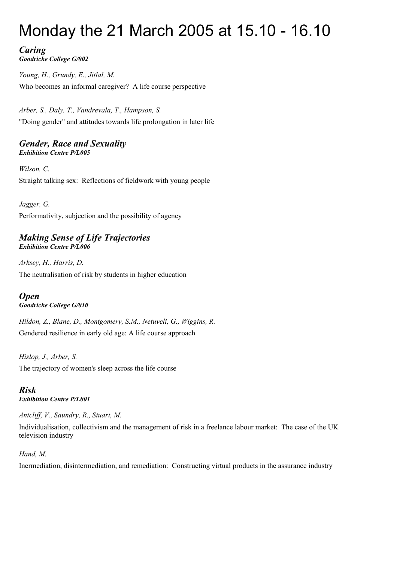# Monday the 21 March 2005 at 15.10 - 16.10

### *Caring Goodricke College G/002*

*Young, H., Grundy, E., Jitlal, M.* Who becomes an informal caregiver? A life course perspective

*Arber, S., Daly, T., Vandrevala, T., Hampson, S.* "Doing gender" and attitudes towards life prolongation in later life

### *Gender, Race and Sexuality Exhibition Centre P/L005*

*Wilson, C.* Straight talking sex: Reflections of fieldwork with young people

*Jagger, G.* Performativity, subjection and the possibility of agency

### *Making Sense of Life Trajectories Exhibition Centre P/L006*

*Arksey, H., Harris, D.* The neutralisation of risk by students in higher education

# *Open*

## *Goodricke College G/010*

*Hildon, Z., Blane, D., Montgomery, S.M., Netuveli, G., Wiggins, R.* Gendered resilience in early old age: A life course approach

*Hislop, J., Arber, S.* The trajectory of women's sleep across the life course

### *Risk Exhibition Centre P/L001*

*Antcliff, V., Saundry, R., Stuart, M.*

Individualisation, collectivism and the management of risk in a freelance labour market: The case of the UK television industry

## *Hand, M.*

Inermediation, disintermediation, and remediation: Constructing virtual products in the assurance industry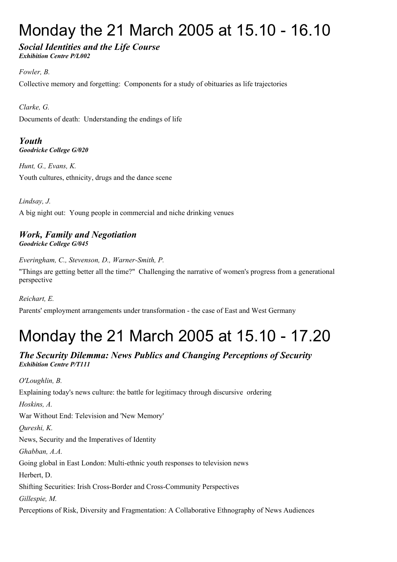# Monday the 21 March 2005 at 15.10 - 16.10

### *Social Identities and the Life Course Exhibition Centre P/L002*

*Fowler, B.* Collective memory and forgetting: Components for a study of obituaries as life trajectories

*Clarke, G.* Documents of death: Understanding the endings of life

*Youth Goodricke College G/020*

*Hunt, G., Evans, K.* Youth cultures, ethnicity, drugs and the dance scene

*Lindsay, J.* A big night out: Young people in commercial and niche drinking venues

## *Work, Family and Negotiation Goodricke College G/045*

*Everingham, C., Stevenson, D., Warner-Smith, P.*

"Things are getting better all the time?" Challenging the narrative of women's progress from a generational perspective

*Reichart, E.*

Parents' employment arrangements under transformation - the case of East and West Germany

# Monday the 21 March 2005 at 15.10 - 17.20

## *The Security Dilemma: News Publics and Changing Perceptions of Security Exhibition Centre P/T111*

*O'Loughlin, B.* Explaining today's news culture: the battle for legitimacy through discursive ordering *Hoskins, A.* War Without End: Television and 'New Memory' *Qureshi, K.* News, Security and the Imperatives of Identity *Ghabban, A.A.* Going global in East London: Multi-ethnic youth responses to television news Herbert, D. Shifting Securities: Irish Cross-Border and Cross-Community Perspectives *Gillespie, M.* Perceptions of Risk, Diversity and Fragmentation: A Collaborative Ethnography of News Audiences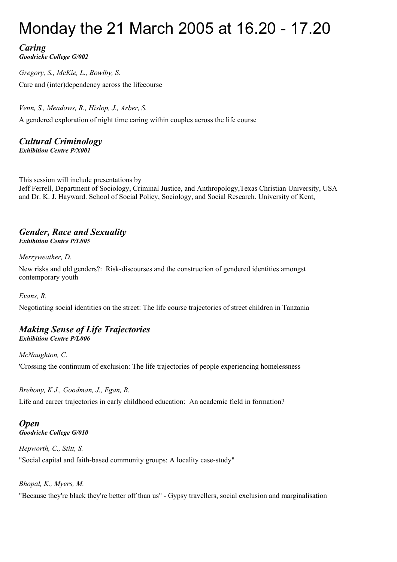# Monday the 21 March 2005 at 16.20 - 17.20

# *Caring*

*Goodricke College G/002*

*Gregory, S., McKie, L., Bowlby, S.* Care and (inter)dependency across the lifecourse

*Venn, S., Meadows, R., Hislop, J., Arber, S.* A gendered exploration of night time caring within couples across the life course

# *Cultural Criminology*

*Exhibition Centre P/X001*

This session will include presentations by Jeff Ferrell, Department of Sociology, Criminal Justice, and Anthropology,Texas Christian University, USA and Dr. K. J. Hayward. School of Social Policy, Sociology, and Social Research. University of Kent,

### *Gender, Race and Sexuality Exhibition Centre P/L005*

*Merryweather, D.*

New risks and old genders?: Risk-discourses and the construction of gendered identities amongst contemporary youth

*Evans, R.*

Negotiating social identities on the street: The life course trajectories of street children in Tanzania

# *Making Sense of Life Trajectories*

*Exhibition Centre P/L006*

*McNaughton, C.* 'Crossing the continuum of exclusion: The life trajectories of people experiencing homelessness

*Brehony, K.J., Goodman, J., Egan, B.*

Life and career trajectories in early childhood education: An academic field in formation?

# *Open*

*Goodricke College G/010*

*Hepworth, C., Stitt, S.*

"Social capital and faith-based community groups: A locality case-study"

*Bhopal, K., Myers, M.*

"Because they're black they're better off than us" - Gypsy travellers, social exclusion and marginalisation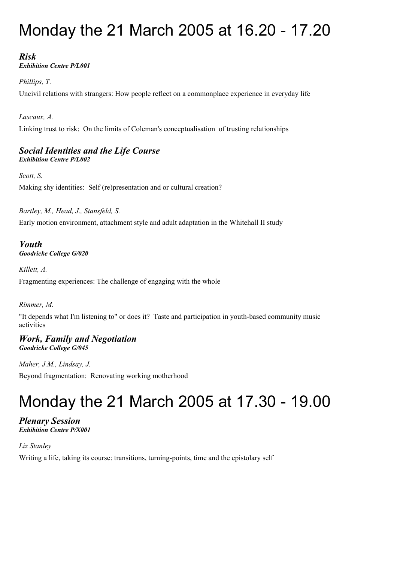# Monday the 21 March 2005 at 16.20 - 17.20

# *Risk*

*Exhibition Centre P/L001*

*Phillips, T.*

Uncivil relations with strangers: How people reflect on a commonplace experience in everyday life

*Lascaux, A.*

Linking trust to risk: On the limits of Coleman's conceptualisation of trusting relationships

# *Social Identities and the Life Course*

*Exhibition Centre P/L002*

*Scott, S.* Making shy identities: Self (re)presentation and or cultural creation?

*Bartley, M., Head, J., Stansfeld, S.*

Early motion environment, attachment style and adult adaptation in the Whitehall II study

### *Youth Goodricke College G/020*

*Killett, A.*

Fragmenting experiences: The challenge of engaging with the whole

### *Rimmer, M.*

"It depends what I'm listening to" or does it? Taste and participation in youth-based community music activities

### *Work, Family and Negotiation Goodricke College G/045*

*Maher, J.M., Lindsay, J.*

Beyond fragmentation: Renovating working motherhood

# Monday the 21 March 2005 at 17.30 - 19.00

### *Plenary Session Exhibition Centre P/X001*

*Liz Stanley*

Writing a life, taking its course: transitions, turning-points, time and the epistolary self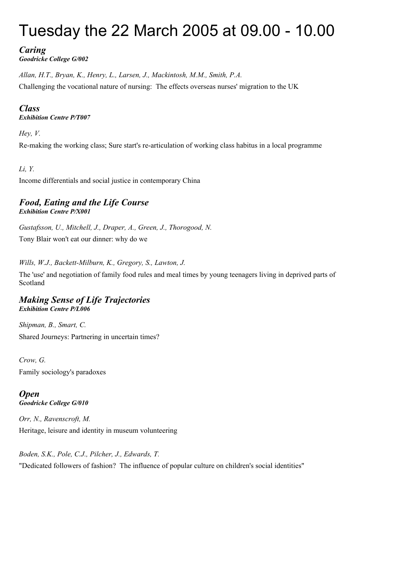# Tuesday the 22 March 2005 at 09.00 - 10.00

# *Caring*

*Goodricke College G/002*

*Allan, H.T., Bryan, K., Henry, L., Larsen, J., Mackintosh, M.M., Smith, P.A.* Challenging the vocational nature of nursing: The effects overseas nurses' migration to the UK

## *Class*

*Exhibition Centre P/T007*

### *Hey, V.*

Re-making the working class; Sure start's re-articulation of working class habitus in a local programme

## *Li, Y.*

Income differentials and social justice in contemporary China

### *Food, Eating and the Life Course Exhibition Centre P/X001*

*Gustafsson, U., Mitchell, J., Draper, A., Green, J., Thorogood, N.* Tony Blair won't eat our dinner: why do we

*Wills, W.J., Backett-Milburn, K., Gregory, S., Lawton, J.*

The 'use' and negotiation of family food rules and meal times by young teenagers living in deprived parts of Scotland

### *Making Sense of Life Trajectories Exhibition Centre P/L006*

*Shipman, B., Smart, C.* Shared Journeys: Partnering in uncertain times?

*Crow, G.* Family sociology's paradoxes

*Open Goodricke College G/010*

*Orr, N., Ravenscroft, M.* Heritage, leisure and identity in museum volunteering

*Boden, S.K., Pole, C.J., Pilcher, J., Edwards, T.* "Dedicated followers of fashion? The influence of popular culture on children's social identities"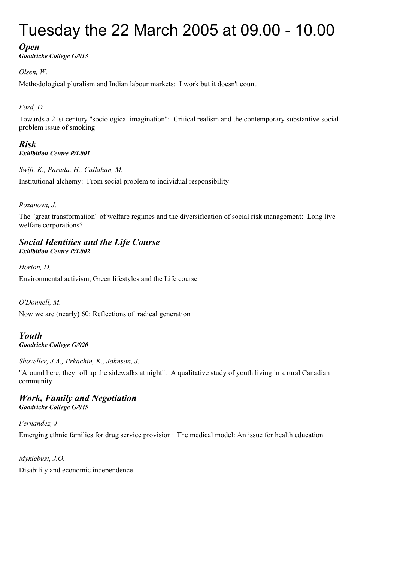# Tuesday the 22 March 2005 at 09.00 - 10.00

### *Open*

*Goodricke College G/013*

### *Olsen, W.*

Methodological pluralism and Indian labour markets: I work but it doesn't count

### *Ford, D.*

Towards a 21st century "sociological imagination": Critical realism and the contemporary substantive social problem issue of smoking

### *Risk Exhibition Centre P/L001*

*Swift, K., Parada, H., Callahan, M.* Institutional alchemy: From social problem to individual responsibility

### *Rozanova, J.*

The "great transformation" of welfare regimes and the diversification of social risk management: Long live welfare corporations?

### *Social Identities and the Life Course Exhibition Centre P/L002*

*Horton, D.*

Environmental activism, Green lifestyles and the Life course

*O'Donnell, M.*

Now we are (nearly) 60: Reflections of radical generation

### *Youth Goodricke College G/020*

*Shoveller, J.A., Prkachin, K., Johnson, J.*

"Around here, they roll up the sidewalks at night": A qualitative study of youth living in a rural Canadian community

### *Work, Family and Negotiation Goodricke College G/045*

*Fernandez, J* Emerging ethnic families for drug service provision: The medical model: An issue for health education

*Myklebust, J.O.* Disability and economic independence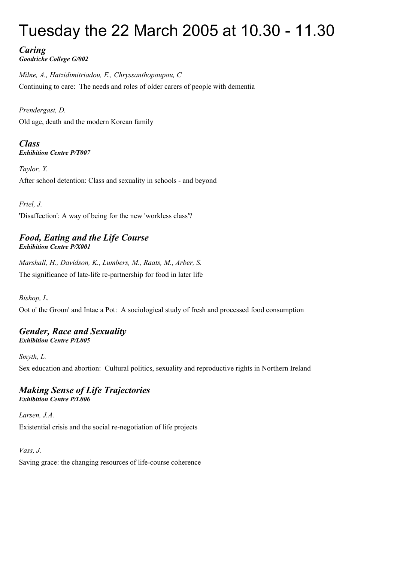# Tuesday the 22 March 2005 at 10.30 - 11.30

*Caring Goodricke College G/002*

*Milne, A., Hatzidimitriadou, E., Chryssanthopoupou, C* Continuing to care: The needs and roles of older carers of people with dementia

*Prendergast, D.* Old age, death and the modern Korean family

*Class Exhibition Centre P/T007*

*Taylor, Y.* After school detention: Class and sexuality in schools - and beyond

*Friel, J.*

'Disaffection': A way of being for the new 'workless class'?

### *Food, Eating and the Life Course Exhibition Centre P/X001*

*Marshall, H., Davidson, K., Lumbers, M., Raats, M., Arber, S.* The significance of late-life re-partnership for food in later life

*Bishop, L.*

Oot o' the Groun' and Intae a Pot: A sociological study of fresh and processed food consumption

### *Gender, Race and Sexuality Exhibition Centre P/L005*

*Smyth, L.*

Sex education and abortion: Cultural politics, sexuality and reproductive rights in Northern Ireland

### *Making Sense of Life Trajectories Exhibition Centre P/L006*

*Larsen, J.A.* Existential crisis and the social re-negotiation of life projects

*Vass, J.*

Saving grace: the changing resources of life-course coherence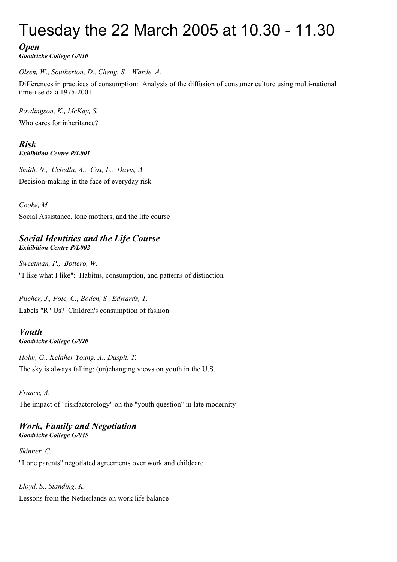# Tuesday the 22 March 2005 at 10.30 - 11.30

## *Open*

*Goodricke College G/010*

*Olsen, W., Southerton, D., Cheng, S., Warde, A.*

Differences in practices of consumption: Analysis of the diffusion of consumer culture using multi-national time-use data 1975-2001

*Rowlingson, K., McKay, S.* Who cares for inheritance?

*Risk Exhibition Centre P/L001*

*Smith, N., Cebulla, A., Cox, L., Davis, A.* Decision-making in the face of everyday risk

*Cooke, M.*

Social Assistance, lone mothers, and the life course

## *Social Identities and the Life Course Exhibition Centre P/L002*

*Sweetman, P., Bottero, W.*

"I like what I like": Habitus, consumption, and patterns of distinction

*Pilcher, J., Pole, C., Boden, S., Edwards, T.* Labels "R" Us? Children's consumption of fashion

### *Youth Goodricke College G/020*

*Holm, G., Kelaher Young, A., Daspit, T.* The sky is always falling: (un)changing views on youth in the U.S.

### *France, A.*

The impact of "riskfactorology" on the "youth question" in late modernity

### *Work, Family and Negotiation Goodricke College G/045*

*Skinner, C.* "Lone parents" negotiated agreements over work and childcare

*Lloyd, S., Standing, K.* Lessons from the Netherlands on work life balance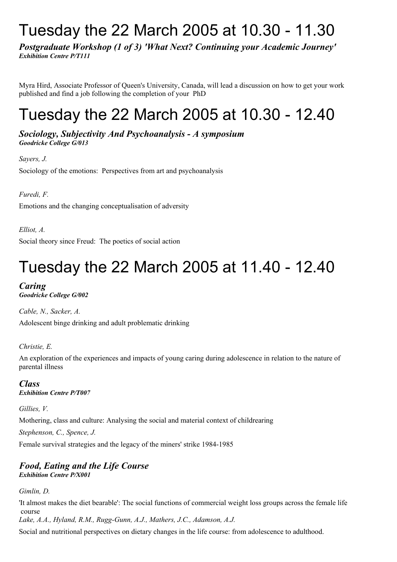# Tuesday the 22 March 2005 at 10.30 - 11.30

*Postgraduate Workshop (1 of 3) 'What Next? Continuing your Academic Journey' Exhibition Centre P/T111*

Myra Hird, Associate Professor of Queen's University, Canada, will lead a discussion on how to get your work published and find a job following the completion of your PhD

# Tuesday the 22 March 2005 at 10.30 - 12.40

*Sociology, Subjectivity And Psychoanalysis - A symposium Goodricke College G/013*

*Sayers, J.* Sociology of the emotions: Perspectives from art and psychoanalysis

*Furedi, F.*

Emotions and the changing conceptualisation of adversity

*Elliot, A.*

Social theory since Freud: The poetics of social action

# Tuesday the 22 March 2005 at 11.40 - 12.40

# *Caring*

*Goodricke College G/002*

*Cable, N., Sacker, A.* Adolescent binge drinking and adult problematic drinking

*Christie, E.*

An exploration of the experiences and impacts of young caring during adolescence in relation to the nature of parental illness

*Class Exhibition Centre P/T007*

*Gillies, V.*

Mothering, class and culture: Analysing the social and material context of childrearing

*Stephenson, C., Spence, J.*

Female survival strategies and the legacy of the miners' strike 1984-1985

### *Food, Eating and the Life Course Exhibition Centre P/X001*

*Gimlin, D.*

'It almost makes the diet bearable': The social functions of commercial weight loss groups across the female life course

*Lake, A.A., Hyland, R.M., Rugg-Gunn, A.J., Mathers, J.C., Adamson, A.J.*

Social and nutritional perspectives on dietary changes in the life course: from adolescence to adulthood.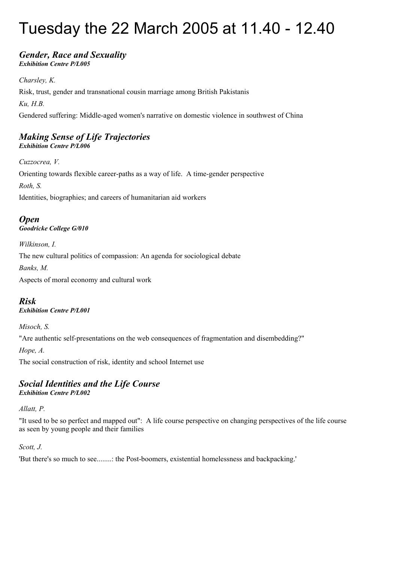# Tuesday the 22 March 2005 at 11.40 - 12.40

### *Gender, Race and Sexuality Exhibition Centre P/L005*

*Charsley, K.* Risk, trust, gender and transnational cousin marriage among British Pakistanis *Ku, H.B.* Gendered suffering: Middle-aged women's narrative on domestic violence in southwest of China

### *Making Sense of Life Trajectories Exhibition Centre P/L006*

*Cuzzocrea, V.* Orienting towards flexible career-paths as a way of life. A time-gender perspective *Roth, S.* Identities, biographies; and careers of humanitarian aid workers

*Open Goodricke College G/010*

*Wilkinson, I.*

The new cultural politics of compassion: An agenda for sociological debate

*Banks, M.*

Aspects of moral economy and cultural work

## *Risk*

*Exhibition Centre P/L001*

*Misoch, S.*

"Are authentic self-presentations on the web consequences of fragmentation and disembedding?"

*Hope, A.*

The social construction of risk, identity and school Internet use

# *Social Identities and the Life Course*

*Exhibition Centre P/L002*

### *Allatt, P.*

"It used to be so perfect and mapped out": A life course perspective on changing perspectives of the life course as seen by young people and their families

### *Scott, J.*

'But there's so much to see........: the Post-boomers, existential homelessness and backpacking.'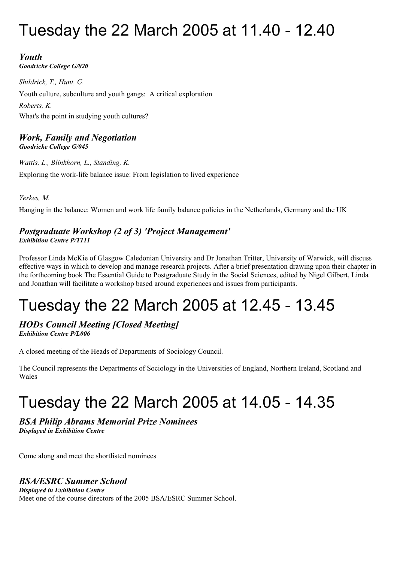# Tuesday the 22 March 2005 at 11.40 - 12.40

# *Youth*

*Goodricke College G/020*

*Shildrick, T., Hunt, G.* Youth culture, subculture and youth gangs: A critical exploration *Roberts, K.* What's the point in studying youth cultures?

### *Work, Family and Negotiation Goodricke College G/045*

*Wattis, L., Blinkhorn, L., Standing, K.* Exploring the work-life balance issue: From legislation to lived experience

*Yerkes, M.*

Hanging in the balance: Women and work life family balance policies in the Netherlands, Germany and the UK

### *Postgraduate Workshop (2 of 3) 'Project Management' Exhibition Centre P/T111*

Professor Linda McKie of Glasgow Caledonian University and Dr Jonathan Tritter, University of Warwick, will discuss effective ways in which to develop and manage research projects. After a brief presentation drawing upon their chapter in the forthcoming book The Essential Guide to Postgraduate Study in the Social Sciences, edited by Nigel Gilbert, Linda and Jonathan will facilitate a workshop based around experiences and issues from participants.

# Tuesday the 22 March 2005 at 12.45 - 13.45

### *HODs Council Meeting [Closed Meeting] Exhibition Centre P/L006*

A closed meeting of the Heads of Departments of Sociology Council.

The Council represents the Departments of Sociology in the Universities of England, Northern Ireland, Scotland and Wales

# Tuesday the 22 March 2005 at 14.05 - 14.35

# *BSA Philip Abrams Memorial Prize Nominees*

*Displayed in Exhibition Centre* 

Come along and meet the shortlisted nominees

# *BSA/ESRC Summer School*

*Displayed in Exhibition Centre* Meet one of the course directors of the 2005 BSA/ESRC Summer School.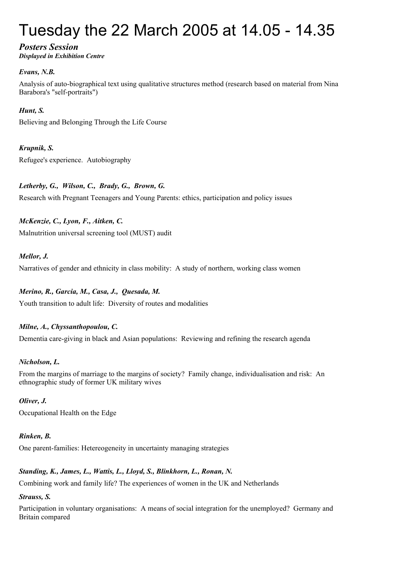# Tuesday the 22 March 2005 at 14.05 - 14.35

# *Posters Session*

*Displayed in Exhibition Centre*

### *Evans, N.B.*

Analysis of auto-biographical text using qualitative structures method (research based on material from Nina Barabora's "self-portraits")

### *Hunt, S.*

Believing and Belonging Through the Life Course

### *Krupnik, S.*

Refugee's experience. Autobiography

### *Letherby, G., Wilson, C., Brady, G., Brown, G.*

Research with Pregnant Teenagers and Young Parents: ethics, participation and policy issues

## *McKenzie, C., Lyon, F., Aitken, C.*

Malnutrition universal screening tool (MUST) audit

### *Mellor, J.*

Narratives of gender and ethnicity in class mobility: A study of northern, working class women

### *Merino, R., Garcia, M., Casa, J., Quesada, M.* Youth transition to adult life: Diversity of routes and modalities

# *Milne, A., Chyssanthopoulou, C.*

Dementia care-giving in black and Asian populations: Reviewing and refining the research agenda

### *Nicholson, L.*

From the margins of marriage to the margins of society? Family change, individualisation and risk: An ethnographic study of former UK military wives

### *Oliver, J.*

Occupational Health on the Edge

### *Rinken, B.*

One parent-families: Hetereogeneity in uncertainty managing strategies

### *Standing, K., James, L., Wattis, L., Lloyd, S., Blinkhorn, L., Ronan, N.*

Combining work and family life? The experiences of women in the UK and Netherlands

### *Strauss, S.*

Participation in voluntary organisations: A means of social integration for the unemployed? Germany and Britain compared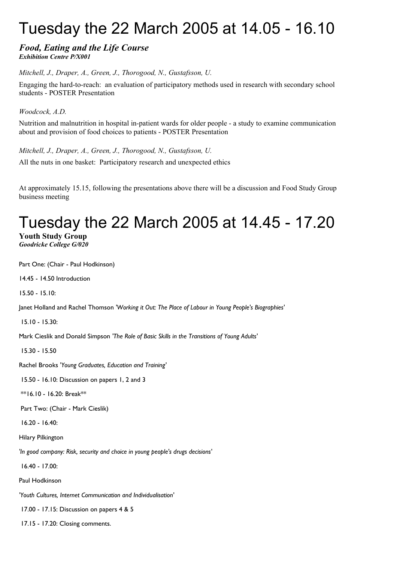# Tuesday the 22 March 2005 at 14.05 - 16.10

### *Food, Eating and the Life Course Exhibition Centre P/X001*

*Mitchell, J., Draper, A., Green, J., Thorogood, N., Gustafsson, U.*

Engaging the hard-to-reach: an evaluation of participatory methods used in research with secondary school students - POSTER Presentation

*Woodcock, A.D.*

Nutrition and malnutrition in hospital in-patient wards for older people - a study to examine communication about and provision of food choices to patients - POSTER Presentation

*Mitchell, J., Draper, A., Green, J., Thorogood, N., Gustafsson, U.* All the nuts in one basket: Participatory research and unexpected ethics

At approximately 15.15, following the presentations above there will be a discussion and Food Study Group business meeting

# Tuesday the 22 March 2005 at 14.45 - 17.20

**Youth Study Group** *Goodricke College G/020* 

Part One: (Chair - Paul Hodkinson)

14.45 - 14.50 Introduction

15.50 - 15.10:

Janet Holland and Rachel Thomson *'Working it Out: The Place of Labour in Young People's Biographies'*

15.10 - 15.30:

Mark Cieslik and Donald Simpson *'The Role of Basic Skills in the Transitions of Young Adults'*

15.30 - 15.50

Rachel Brooks *'Young Graduates, Education and Training'*

15.50 - 16.10: Discussion on papers 1, 2 and 3

\*\*16.10 - 16.20: Break\*\*

Part Two: (Chair - Mark Cieslik)

16.20 - 16.40:

Hilary Pilkington

*'In good company: Risk, security and choice in young people's drugs decisions'*

16.40 - 17.00:

Paul Hodkinson

*'Youth Cultures, Internet Communication and Individualisation'*

17.00 - 17.15: Discussion on papers 4 & 5

17.15 - 17.20: Closing comments.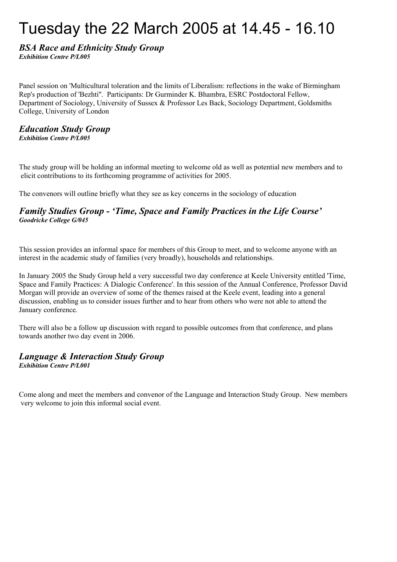# Tuesday the 22 March 2005 at 14.45 - 16.10

### *BSA Race and Ethnicity Study Group Exhibition Centre P/L005*

Panel session on 'Multicultural toleration and the limits of Liberalism: reflections in the wake of Birmingham Rep's production of 'Bezhti''. Participants: Dr Gurminder K. Bhambra, ESRC Postdoctoral Fellow, Department of Sociology, University of Sussex & Professor Les Back, Sociology Department, Goldsmiths College, University of London

### *Education Study Group Exhibition Centre P/L005*

The study group will be holding an informal meeting to welcome old as well as potential new members and to elicit contributions to its forthcoming programme of activities for 2005.

The convenors will outline briefly what they see as key concerns in the sociology of education

### *Family Studies Group - 'Time, Space and Family Practices in the Life Course' Goodricke College G/045*

This session provides an informal space for members of this Group to meet, and to welcome anyone with an interest in the academic study of families (very broadly), households and relationships.

In January 2005 the Study Group held a very successful two day conference at Keele University entitled 'Time, Space and Family Practices: A Dialogic Conference'. In this session of the Annual Conference, Professor David Morgan will provide an overview of some of the themes raised at the Keele event, leading into a general discussion, enabling us to consider issues further and to hear from others who were not able to attend the January conference.

There will also be a follow up discussion with regard to possible outcomes from that conference, and plans towards another two day event in 2006.

# *Language & Interaction Study Group*

*Exhibition Centre P/L001*

Come along and meet the members and convenor of the Language and Interaction Study Group. New members very welcome to join this informal social event.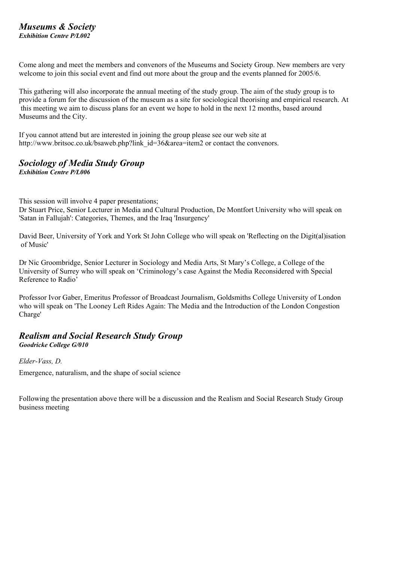### *Museums & Society Exhibition Centre P/L002*

Come along and meet the members and convenors of the Museums and Society Group. New members are very welcome to join this social event and find out more about the group and the events planned for 2005/6.

This gathering will also incorporate the annual meeting of the study group. The aim of the study group is to provide a forum for the discussion of the museum as a site for sociological theorising and empirical research. At this meeting we aim to discuss plans for an event we hope to hold in the next 12 months, based around Museums and the City.

If you cannot attend but are interested in joining the group please see our web site at http://www.britsoc.co.uk/bsaweb.php?link\_id=36&area=item2 or contact the convenors.

### *Sociology of Media Study Group Exhibition Centre P/L006*

This session will involve 4 paper presentations;

Dr Stuart Price, Senior Lecturer in Media and Cultural Production, De Montfort University who will speak on 'Satan in Fallujah': Categories, Themes, and the Iraq 'Insurgency'

David Beer, University of York and York St John College who will speak on 'Reflecting on the Digit(al)isation of Music'

Dr Nic Groombridge, Senior Lecturer in Sociology and Media Arts, St Mary's College, a College of the University of Surrey who will speak on 'Criminology's case Against the Media Reconsidered with Special Reference to Radio'

Professor Ivor Gaber, Emeritus Professor of Broadcast Journalism, Goldsmiths College University of London who will speak on 'The Looney Left Rides Again: The Media and the Introduction of the London Congestion Charge'

# *Realism and Social Research Study Group*

*Goodricke College G/010*

### *Elder-Vass, D.*

Emergence, naturalism, and the shape of social science

Following the presentation above there will be a discussion and the Realism and Social Research Study Group business meeting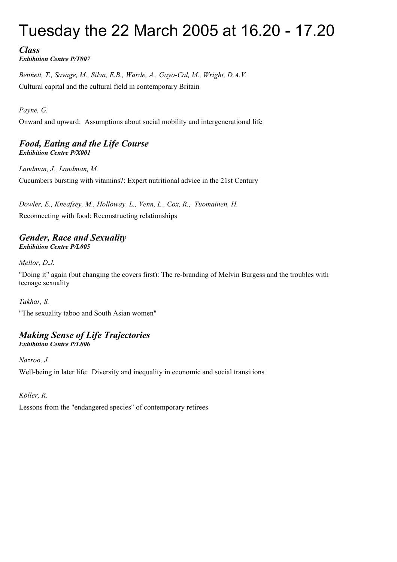# Tuesday the 22 March 2005 at 16.20 - 17.20

*Class Exhibition Centre P/T007*

*Bennett, T., Savage, M., Silva, E.B., Warde, A., Gayo-Cal, M., Wright, D.A.V.* Cultural capital and the cultural field in contemporary Britain

*Payne, G.*

Onward and upward: Assumptions about social mobility and intergenerational life

### *Food, Eating and the Life Course Exhibition Centre P/X001*

*Landman, J., Landman, M.* Cucumbers bursting with vitamins?: Expert nutritional advice in the 21st Century

*Dowler, E., Kneafsey, M., Holloway, L., Venn, L., Cox, R., Tuomainen, H.* Reconnecting with food: Reconstructing relationships

### *Gender, Race and Sexuality Exhibition Centre P/L005*

*Mellor, D.J.*

"Doing it" again (but changing the covers first): The re-branding of Melvin Burgess and the troubles with teenage sexuality

*Takhar, S.*

"The sexuality taboo and South Asian women"

### *Making Sense of Life Trajectories Exhibition Centre P/L006*

*Nazroo, J.* Well-being in later life: Diversity and inequality in economic and social transitions

*Köller, R.*

Lessons from the "endangered species" of contemporary retirees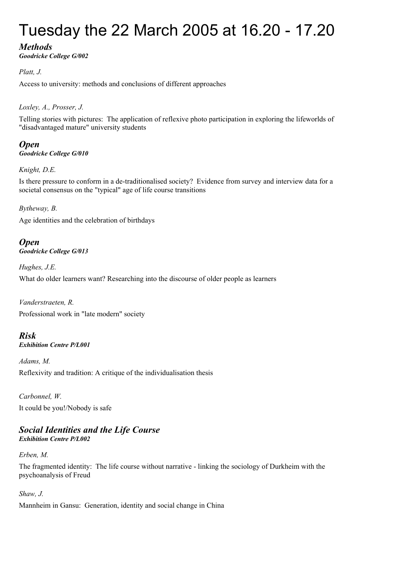# Tuesday the 22 March 2005 at 16.20 - 17.20

## *Methods*

*Goodricke College G/002*

### *Platt, J.*

Access to university: methods and conclusions of different approaches

*Loxley, A., Prosser, J.*

Telling stories with pictures: The application of reflexive photo participation in exploring the lifeworlds of "disadvantaged mature" university students

*Open Goodricke College G/010*

*Knight, D.E.*

Is there pressure to conform in a de-traditionalised society? Evidence from survey and interview data for a societal consensus on the "typical" age of life course transitions

### *Bytheway, B.*

Age identities and the celebration of birthdays

### *Open Goodricke College G/013*

*Hughes, J.E.* What do older learners want? Researching into the discourse of older people as learners

*Vanderstraeten, R.* Professional work in "late modern" society

*Risk Exhibition Centre P/L001*

*Adams, M.* Reflexivity and tradition: A critique of the individualisation thesis

*Carbonnel, W.* It could be you!/Nobody is safe

### *Social Identities and the Life Course Exhibition Centre P/L002*

*Erben, M.*

The fragmented identity: The life course without narrative - linking the sociology of Durkheim with the psychoanalysis of Freud

### *Shaw, J.*

Mannheim in Gansu: Generation, identity and social change in China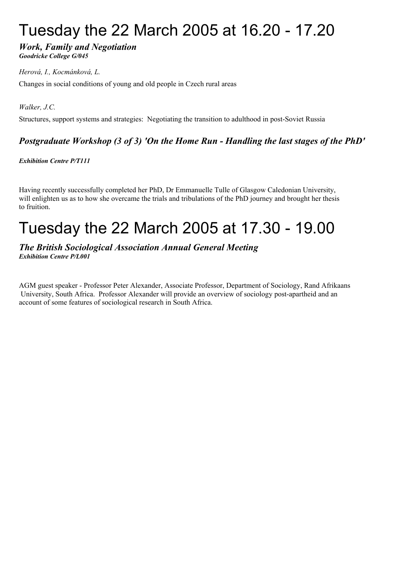# Tuesday the 22 March 2005 at 16.20 - 17.20

### *Work, Family and Negotiation Goodricke College G/045*

### *Herová, I., Kocmánková, L.*

Changes in social conditions of young and old people in Czech rural areas

*Walker, J.C.*

Structures, support systems and strategies: Negotiating the transition to adulthood in post-Soviet Russia

## *Postgraduate Workshop (3 of 3) 'On the Home Run - Handling the last stages of the PhD'*

*Exhibition Centre P/T111*

Having recently successfully completed her PhD, Dr Emmanuelle Tulle of Glasgow Caledonian University, will enlighten us as to how she overcame the trials and tribulations of the PhD journey and brought her thesis to fruition.

# Tuesday the 22 March 2005 at 17.30 - 19.00

### *The British Sociological Association Annual General Meeting Exhibition Centre P/L001*

AGM guest speaker - Professor Peter Alexander, Associate Professor, Department of Sociology, Rand Afrikaans University, South Africa. Professor Alexander will provide an overview of sociology post-apartheid and an account of some features of sociological research in South Africa.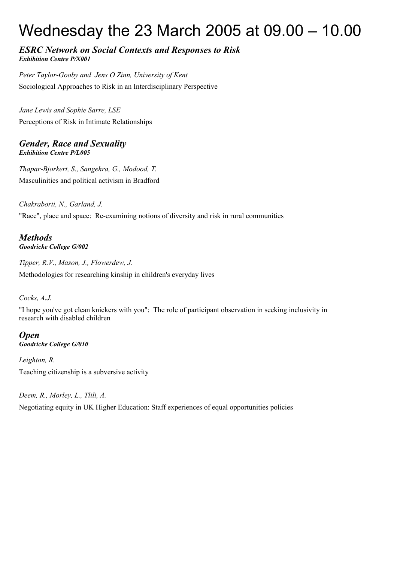# Wednesday the 23 March 2005 at 09.00 – 10.00

### *ESRC Network on Social Contexts and Responses to Risk Exhibition Centre P/X001*

*Peter Taylor-Gooby and Jens O Zinn, University of Kent* Sociological Approaches to Risk in an Interdisciplinary Perspective

*Jane Lewis and Sophie Sarre, LSE* Perceptions of Risk in Intimate Relationships

### *Gender, Race and Sexuality Exhibition Centre P/L005*

*Thapar-Bjorkert, S., Sangehra, G., Modood, T.* Masculinities and political activism in Bradford

*Chakraborti, N., Garland, J.* "Race", place and space: Re-examining notions of diversity and risk in rural communities

*Methods Goodricke College G/002*

*Tipper, R.V., Mason, J., Flowerdew, J.* Methodologies for researching kinship in children's everyday lives

### *Cocks, A.J.*

"I hope you've got clean knickers with you": The role of participant observation in seeking inclusivity in research with disabled children

*Open Goodricke College G/010*

*Leighton, R.* Teaching citizenship is a subversive activity

### *Deem, R., Morley, L., Tlili, A.*

Negotiating equity in UK Higher Education: Staff experiences of equal opportunities policies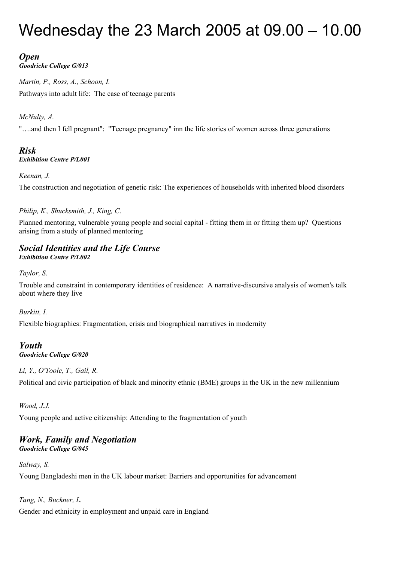# Wednesday the 23 March 2005 at 09.00 – 10.00

# *Open*

*Goodricke College G/013*

*Martin, P., Ross, A., Schoon, I.* Pathways into adult life: The case of teenage parents

*McNulty, A.*

"….and then I fell pregnant": "Teenage pregnancy" inn the life stories of women across three generations

### *Risk Exhibition Centre P/L001*

### *Keenan, J.*

The construction and negotiation of genetic risk: The experiences of households with inherited blood disorders

### *Philip, K., Shucksmith, J., King, C.*

Planned mentoring, vulnerable young people and social capital - fitting them in or fitting them up? Questions arising from a study of planned mentoring

### *Social Identities and the Life Course Exhibition Centre P/L002*

*Taylor, S.*

Trouble and constraint in contemporary identities of residence: A narrative-discursive analysis of women's talk about where they live

*Burkitt, I.*

Flexible biographies: Fragmentation, crisis and biographical narratives in modernity

### *Youth Goodricke College G/020*

### *Li, Y., O'Toole, T., Gail, R.*

Political and civic participation of black and minority ethnic (BME) groups in the UK in the new millennium

### *Wood, J.J.*

Young people and active citizenship: Attending to the fragmentation of youth

### *Work, Family and Negotiation Goodricke College G/045*

*Salway, S.*

Young Bangladeshi men in the UK labour market: Barriers and opportunities for advancement

*Tang, N., Buckner, L.*

Gender and ethnicity in employment and unpaid care in England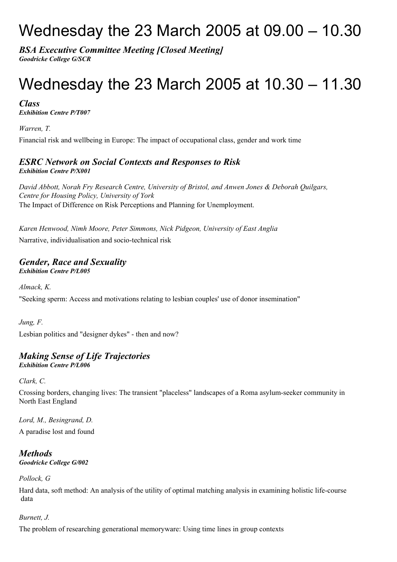# Wednesday the 23 March 2005 at 09.00 – 10.30

*BSA Executive Committee Meeting [Closed Meeting] Goodricke College G/SCR*

# Wednesday the 23 March 2005 at 10.30 – 11.30

*Class Exhibition Centre P/T007*

*Warren, T.*

Financial risk and wellbeing in Europe: The impact of occupational class, gender and work time

### *ESRC Network on Social Contexts and Responses to Risk Exhibition Centre P/X001*

*David Abbott, Norah Fry Research Centre, University of Bristol, and Anwen Jones & Deborah Quilgars, Centre for Housing Policy, University of York* The Impact of Difference on Risk Perceptions and Planning for Unemployment.

*Karen Henwood, Nimh Moore, Peter Simmons, Nick Pidgeon, University of East Anglia*

Narrative, individualisation and socio-technical risk

### *Gender, Race and Sexuality Exhibition Centre P/L005*

*Almack, K.* "Seeking sperm: Access and motivations relating to lesbian couples' use of donor insemination"

*Jung, F.* Lesbian politics and "designer dykes" - then and now?

# *Making Sense of Life Trajectories*

*Exhibition Centre P/L006*

*Clark, C.*

Crossing borders, changing lives: The transient "placeless" landscapes of a Roma asylum-seeker community in North East England

*Lord, M., Besingrand, D.*

A paradise lost and found

### *Methods Goodricke College G/002*

### *Pollock, G*

Hard data, soft method: An analysis of the utility of optimal matching analysis in examining holistic life-course data

### *Burnett, J.*

The problem of researching generational memoryware: Using time lines in group contexts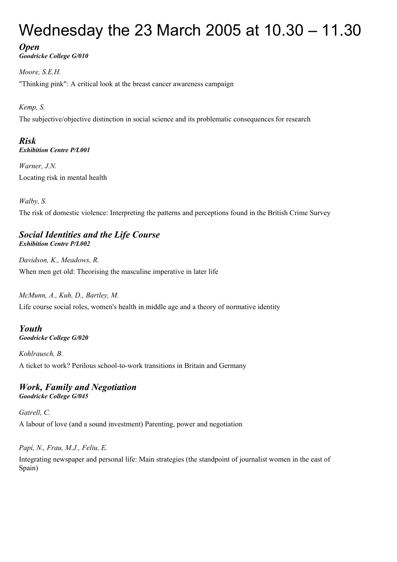# Wednesday the 23 March 2005 at 10.30 – 11.30

*Open*

*Goodricke College G/010*

*Moore, S.E.H.* "Thinking pink": A critical look at the breast cancer awareness campaign

*Kemp, S.*

The subjective/objective distinction in social science and its problematic consequences for research

### *Risk Exhibition Centre P/L001*

*Warner, J.N.* Locating risk in mental health

*Walby, S.* The risk of domestic violence: Interpreting the patterns and perceptions found in the British Crime Survey

### *Social Identities and the Life Course Exhibition Centre P/L002*

*Davidson, K., Meadows, R.* When men get old: Theorising the masculine imperative in later life

*McMunn, A., Kuh, D., Bartley, M.*

Life course social roles, women's health in middle age and a theory of normative identity

*Youth Goodricke College G/020*

*Kohlrausch, B.* A ticket to work? Perilous school-to-work transitions in Britain and Germany

### *Work, Family and Negotiation Goodricke College G/045*

*Gatrell, C.* A labour of love (and a sound investment) Parenting, power and negotiation

*Papí, N., Frau, M.J., Feliu, E.*

Integrating newspaper and personal life: Main strategies (the standpoint of journalist women in the east of Spain)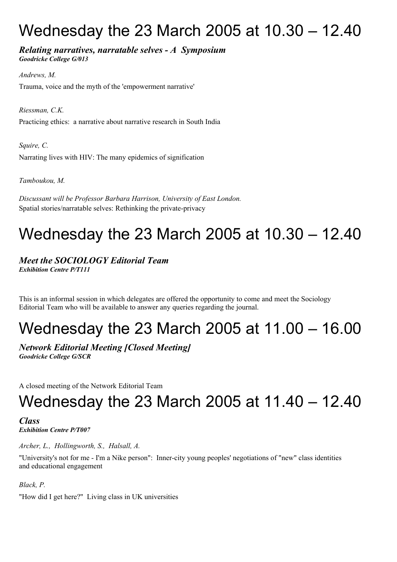# Wednesday the 23 March 2005 at 10.30 – 12.40

*Relating narratives, narratable selves - A Symposium Goodricke College G/013*

*Andrews, M.* Trauma, voice and the myth of the 'empowerment narrative'

*Riessman, C.K.* Practicing ethics: a narrative about narrative research in South India

*Squire, C.* Narrating lives with HIV: The many epidemics of signification

*Tamboukou, M.*

*Discussant will be Professor Barbara Harrison, University of East London.* Spatial stories/narratable selves: Rethinking the private-privacy

# Wednesday the 23 March 2005 at 10.30 – 12.40

*Meet the SOCIOLOGY Editorial Team Exhibition Centre P/T111*

This is an informal session in which delegates are offered the opportunity to come and meet the Sociology Editorial Team who will be available to answer any queries regarding the journal.

# Wednesday the 23 March 2005 at 11.00 – 16.00

*Network Editorial Meeting [Closed Meeting] Goodricke College G/SCR*

A closed meeting of the Network Editorial Team

# Wednesday the 23 March 2005 at 11.40 – 12.40

*Class Exhibition Centre P/T007*

*Archer, L., Hollingworth, S., Halsall, A.*

"University's not for me - I'm a Nike person": Inner-city young peoples' negotiations of "new" class identities and educational engagement

*Black, P.*

"How did I get here?" Living class in UK universities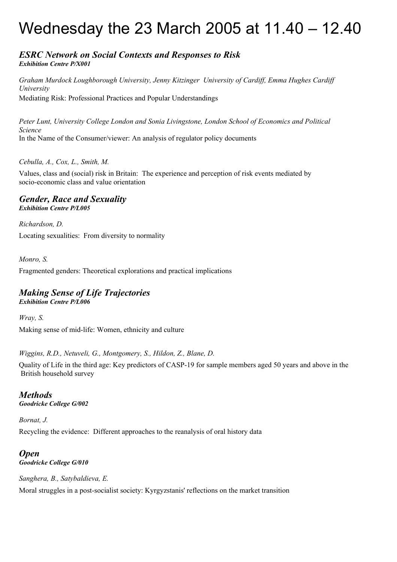# Wednesday the 23 March 2005 at 11.40 – 12.40

### *ESRC Network on Social Contexts and Responses to Risk Exhibition Centre P/X001*

*Graham Murdock Loughborough University, Jenny Kitzinger University of Cardiff, Emma Hughes Cardiff University* Mediating Risk: Professional Practices and Popular Understandings

*Peter Lunt, University College London and Sonia Livingstone, London School of Economics and Political Science* In the Name of the Consumer/viewer: An analysis of regulator policy documents

*Cebulla, A., Cox, L., Smith, M.*

Values, class and (social) risk in Britain: The experience and perception of risk events mediated by socio-economic class and value orientation

### *Gender, Race and Sexuality Exhibition Centre P/L005*

*Richardson, D.* Locating sexualities: From diversity to normality

*Monro, S.*

Fragmented genders: Theoretical explorations and practical implications

### *Making Sense of Life Trajectories Exhibition Centre P/L006*

*Wray, S.* Making sense of mid-life: Women, ethnicity and culture

*Wiggins, R.D., Netuveli, G., Montgomery, S., Hildon, Z., Blane, D.*

Quality of Life in the third age: Key predictors of CASP-19 for sample members aged 50 years and above in the British household survey

### *Methods Goodricke College G/002*

*Bornat, J.* Recycling the evidence: Different approaches to the reanalysis of oral history data

### *Open Goodricke College G/010*

*Sanghera, B., Satybaldieva, E.* Moral struggles in a post-socialist society: Kyrgyzstanis' reflections on the market transition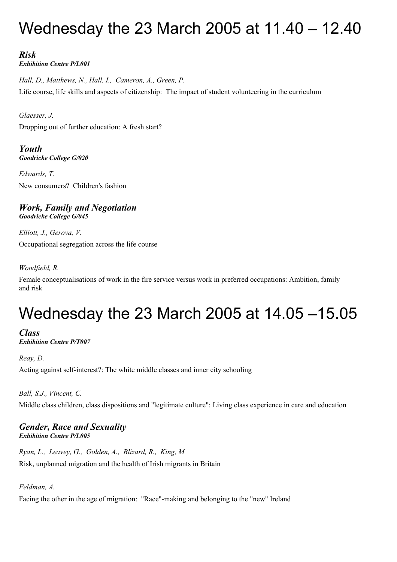# Wednesday the 23 March 2005 at 11.40 – 12.40

# *Risk*

*Exhibition Centre P/L001*

*Hall, D., Matthews, N., Hall, I., Cameron, A., Green, P.* Life course, life skills and aspects of citizenship: The impact of student volunteering in the curriculum

*Glaesser, J.* Dropping out of further education: A fresh start?

*Youth Goodricke College G/020*

*Edwards, T.* New consumers? Children's fashion

### *Work, Family and Negotiation Goodricke College G/045*

*Elliott, J., Gerova, V.* Occupational segregation across the life course

### *Woodfield, R.*

Female conceptualisations of work in the fire service versus work in preferred occupations: Ambition, family and risk

# Wednesday the 23 March 2005 at 14.05 –15.05

*Class Exhibition Centre P/T007*

*Reay, D.*

Acting against self-interest?: The white middle classes and inner city schooling

*Ball, S.J., Vincent, C.*

Middle class children, class dispositions and "legitimate culture": Living class experience in care and education

### *Gender, Race and Sexuality Exhibition Centre P/L005*

*Ryan, L., Leavey, G., Golden, A., Blizard, R., King, M* Risk, unplanned migration and the health of Irish migrants in Britain

### *Feldman, A.*

Facing the other in the age of migration: "Race"-making and belonging to the "new" Ireland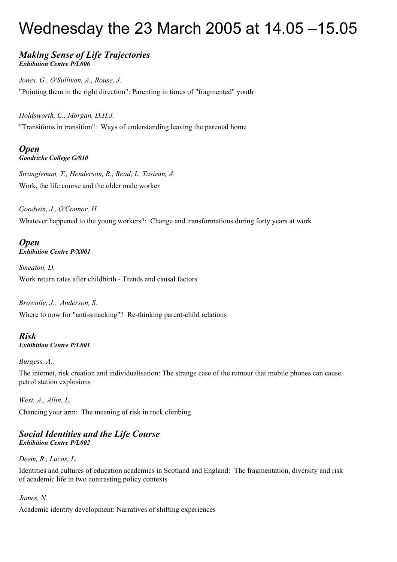# Wednesday the 23 March 2005 at 14.05 –15.05

### *Making Sense of Life Trajectories Exhibition Centre P/L006*

*Jones, G., O'Sullivan, A., Rouse, J.* "Pointing them in the right direction": Parenting in times of "fragmented" youth

*Holdsworth, C., Morgan, D.H.J.*

"Transitions in transition": Ways of understanding leaving the parental home

### *Open Goodricke College G/010*

*Strangleman, T., Henderson, B., Read, I., Tasiran, A.* Work, the life course and the older male worker

*Goodwin, J., O'Connor, H.* Whatever happened to the young workers?: Change and transformations during forty years at work

### *Open Exhibition Centre P/X001*

*Smeaton, D.* Work return rates after childbirth - Trends and causal factors

## *Brownlie, J., Anderson, S.* Where to now for "anti-smacking"? Re-thinking parent-child relations

### *Risk Exhibition Centre P/L001*

### *Burgess, A.,*

The internet, risk creation and individualisation: The strange case of the rumour that mobile phones can cause petrol station explosions

*West, A., Allin, L.* Chancing your arm: The meaning of risk in rock climbing

### *Social Identities and the Life Course Exhibition Centre P/L002*

### *Deem, R., Lucas, L.*

Identities and cultures of education academics in Scotland and England: The fragmentation, diversity and risk of academic life in two contrasting policy contexts

### *James, N.*

Academic identity development: Narratives of shifting experiences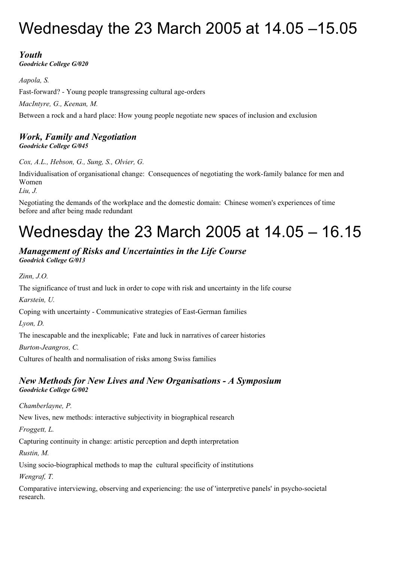# Wednesday the 23 March 2005 at 14.05 –15.05

# *Youth*

*Goodricke College G/020*

*Aapola, S.* Fast-forward? - Young people transgressing cultural age-orders *MacIntyre, G., Keenan, M.* Between a rock and a hard place: How young people negotiate new spaces of inclusion and exclusion

### *Work, Family and Negotiation Goodricke College G/045*

*Cox, A.L., Hebson, G., Sung, S., Olvier, G.*

Individualisation of organisational change: Consequences of negotiating the work-family balance for men and Women

*Liu, J.*

Negotiating the demands of the workplace and the domestic domain: Chinese women's experiences of time before and after being made redundant

# Wednesday the 23 March 2005 at 14.05 – 16.15

### *Management of Risks and Uncertainties in the Life Course Goodrick College G/013*

*Zinn, J.O.*

The significance of trust and luck in order to cope with risk and uncertainty in the life course

*Karstein, U.*

Coping with uncertainty - Communicative strategies of East-German families

*Lyon, D.*

The inescapable and the inexplicable; Fate and luck in narratives of career histories

*Burton-Jeangros, C.*

Cultures of health and normalisation of risks among Swiss families

## *New Methods for New Lives and New Organisations - A Symposium Goodricke College G/002*

*Chamberlayne, P.*

New lives, new methods: interactive subjectivity in biographical research

*Froggett, L.*

Capturing continuity in change: artistic perception and depth interpretation

*Rustin, M.*

Using socio-biographical methods to map the cultural specificity of institutions

*Wengraf, T.*

Comparative interviewing, observing and experiencing: the use of 'interpretive panels' in psycho-societal research.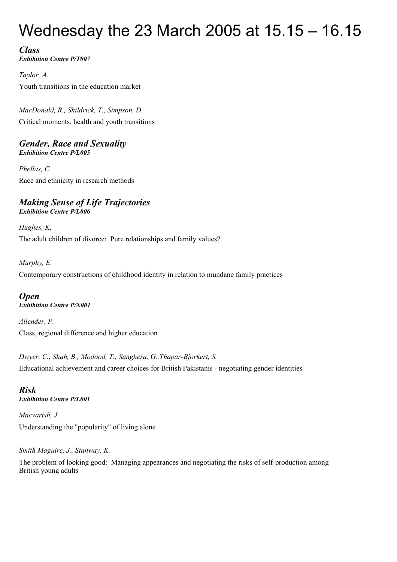# Wednesday the 23 March 2005 at 15.15 – 16.15

*Class Exhibition Centre P/T007*

*Taylor, A.* Youth transitions in the education market

*MacDonald, R., Shildrick, T., Simpson, D.* Critical moments, health and youth transitions

### *Gender, Race and Sexuality Exhibition Centre P/L005*

*Phellas, C.* Race and ethnicity in research methods

### *Making Sense of Life Trajectories Exhibition Centre P/L006*

*Hughes, K.* The adult children of divorce: Pure relationships and family values?

*Murphy, E.* Contemporary constructions of childhood identity in relation to mundane family practices

### *Open Exhibition Centre P/X001*

*Allender, P.* Class, regional difference and higher education

*Dwyer, C., Shah, B., Modood, T., Sanghera, G.,Thapar-Bjorkert, S.* Educational achievement and career choices for British Pakistanis - negotiating gender identities

## *Risk Exhibition Centre P/L001*

*Macvarish, J.* Understanding the "popularity" of living alone

## *Smith Maguire, J., Stanway, K.*

The problem of looking good: Managing appearances and negotiating the risks of self-production among British young adults